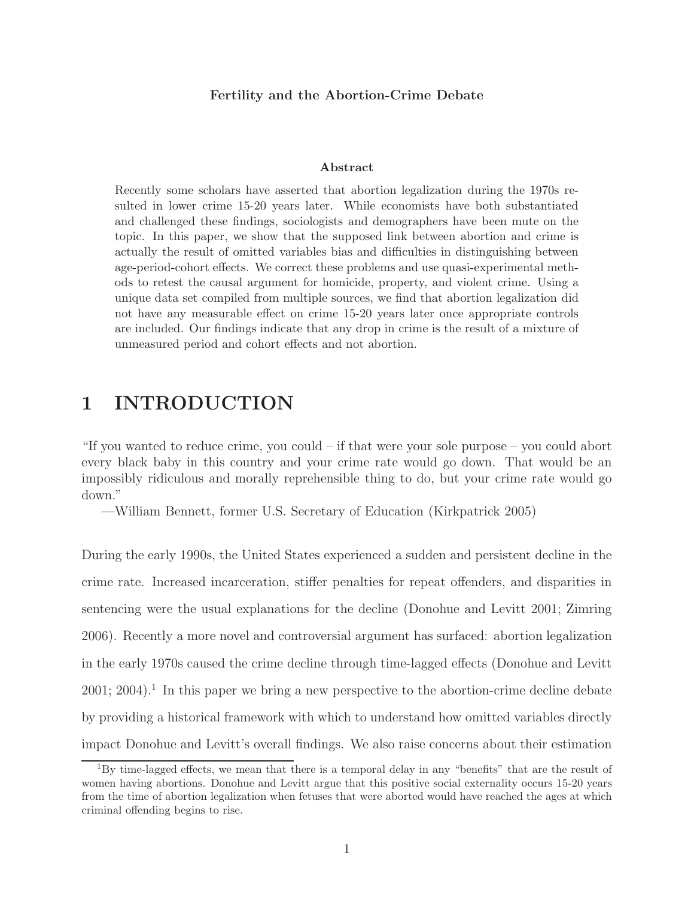#### Fertility and the Abortion-Crime Debate

#### Abstract

Recently some scholars have asserted that abortion legalization during the 1970s resulted in lower crime 15-20 years later. While economists have both substantiated and challenged these findings, sociologists and demographers have been mute on the topic. In this paper, we show that the supposed link between abortion and crime is actually the result of omitted variables bias and difficulties in distinguishing between age-period-cohort effects. We correct these problems and use quasi-experimental methods to retest the causal argument for homicide, property, and violent crime. Using a unique data set compiled from multiple sources, we find that abortion legalization did not have any measurable effect on crime 15-20 years later once appropriate controls are included. Our findings indicate that any drop in crime is the result of a mixture of unmeasured period and cohort effects and not abortion.

# 1 INTRODUCTION

"If you wanted to reduce crime, you could – if that were your sole purpose – you could abort every black baby in this country and your crime rate would go down. That would be an impossibly ridiculous and morally reprehensible thing to do, but your crime rate would go down."

—William Bennett, former U.S. Secretary of Education (Kirkpatrick 2005)

During the early 1990s, the United States experienced a sudden and persistent decline in the crime rate. Increased incarceration, stiffer penalties for repeat offenders, and disparities in sentencing were the usual explanations for the decline (Donohue and Levitt 2001; Zimring 2006). Recently a more novel and controversial argument has surfaced: abortion legalization in the early 1970s caused the crime decline through time-lagged effects (Donohue and Levitt  $2001; 2004$ .<sup>1</sup> In this paper we bring a new perspective to the abortion-crime decline debate by providing a historical framework with which to understand how omitted variables directly impact Donohue and Levitt's overall findings. We also raise concerns about their estimation

<sup>1</sup>By time-lagged effects, we mean that there is a temporal delay in any "benefits" that are the result of women having abortions. Donohue and Levitt argue that this positive social externality occurs 15-20 years from the time of abortion legalization when fetuses that were aborted would have reached the ages at which criminal offending begins to rise.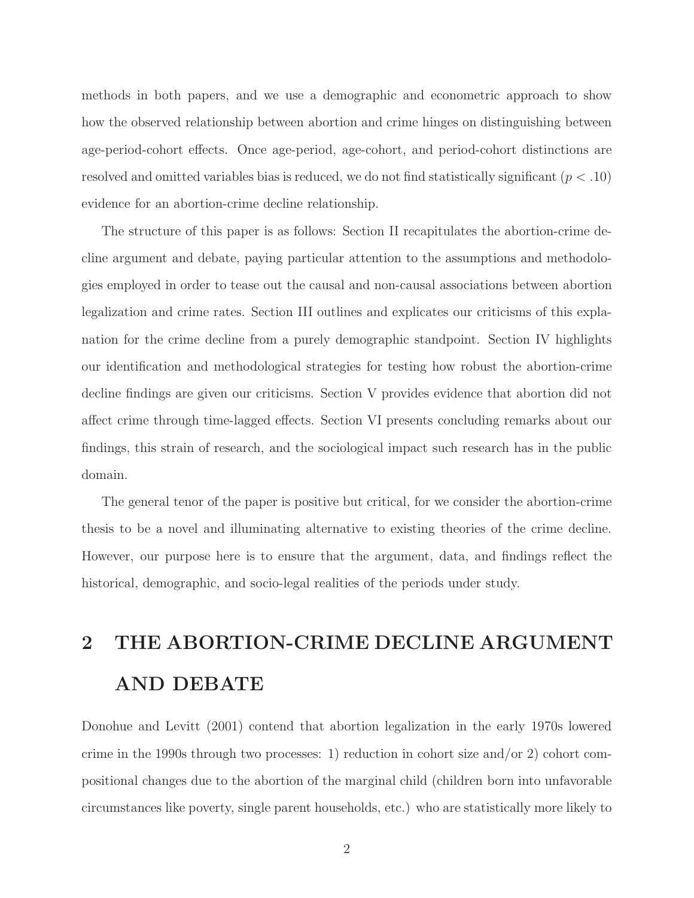methods in both papers, and we use a demographic and econometric approach to show how the observed relationship between abortion and crime hinges on distinguishing between age-period-cohort effects. Once age-period, age-cohort, and period-cohort distinctions are resolved and omitted variables bias is reduced, we do not find statistically significant  $(p < .10)$ evidence for an abortion-crime decline relationship.

The structure of this paper is as follows: Section II recapitulates the abortion-crime decline argument and debate, paying particular attention to the assumptions and methodologies employed in order to tease out the causal and non-causal associations between abortion legalization and crime rates. Section III outlines and explicates our criticisms of this explanation for the crime decline from a purely demographic standpoint. Section IV highlights our identification and methodological strategies for testing how robust the abortion-crime decline findings are given our criticisms. Section V provides evidence that abortion did not affect crime through time-lagged effects. Section VI presents concluding remarks about our findings, this strain of research, and the sociological impact such research has in the public domain.

The general tenor of the paper is positive but critical, for we consider the abortion-crime thesis to be a novel and illuminating alternative to existing theories of the crime decline. However, our purpose here is to ensure that the argument, data, and findings reflect the historical, demographic, and socio-legal realities of the periods under study.

# 2 THE ABORTION-CRIME DECLINE ARGUMENT AND DEBATE

Donohue and Levitt (2001) contend that abortion legalization in the early 1970s lowered crime in the 1990s through two processes: 1) reduction in cohort size and/or 2) cohort compositional changes due to the abortion of the marginal child (children born into unfavorable circumstances like poverty, single parent households, etc.) who are statistically more likely to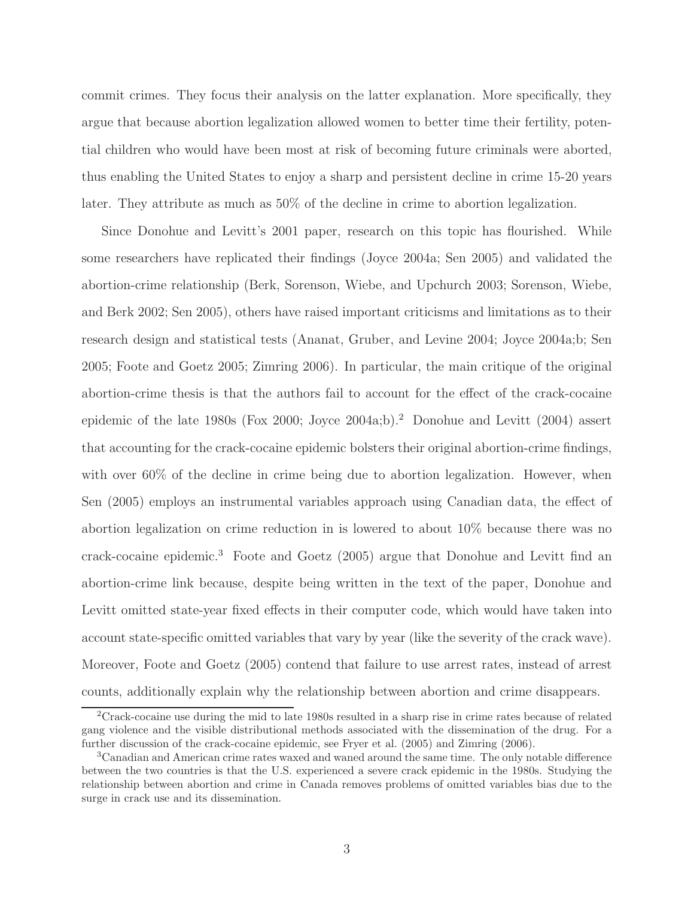commit crimes. They focus their analysis on the latter explanation. More specifically, they argue that because abortion legalization allowed women to better time their fertility, potential children who would have been most at risk of becoming future criminals were aborted, thus enabling the United States to enjoy a sharp and persistent decline in crime 15-20 years later. They attribute as much as 50% of the decline in crime to abortion legalization.

Since Donohue and Levitt's 2001 paper, research on this topic has flourished. While some researchers have replicated their findings (Joyce 2004a; Sen 2005) and validated the abortion-crime relationship (Berk, Sorenson, Wiebe, and Upchurch 2003; Sorenson, Wiebe, and Berk 2002; Sen 2005), others have raised important criticisms and limitations as to their research design and statistical tests (Ananat, Gruber, and Levine 2004; Joyce 2004a;b; Sen 2005; Foote and Goetz 2005; Zimring 2006). In particular, the main critique of the original abortion-crime thesis is that the authors fail to account for the effect of the crack-cocaine epidemic of the late 1980s (Fox 2000; Joyce 2004a;b).<sup>2</sup> Donohue and Levitt (2004) assert that accounting for the crack-cocaine epidemic bolsters their original abortion-crime findings, with over 60% of the decline in crime being due to abortion legalization. However, when Sen (2005) employs an instrumental variables approach using Canadian data, the effect of abortion legalization on crime reduction in is lowered to about 10% because there was no crack-cocaine epidemic.<sup>3</sup> Foote and Goetz (2005) argue that Donohue and Levitt find an abortion-crime link because, despite being written in the text of the paper, Donohue and Levitt omitted state-year fixed effects in their computer code, which would have taken into account state-specific omitted variables that vary by year (like the severity of the crack wave). Moreover, Foote and Goetz (2005) contend that failure to use arrest rates, instead of arrest counts, additionally explain why the relationship between abortion and crime disappears.

<sup>2</sup>Crack-cocaine use during the mid to late 1980s resulted in a sharp rise in crime rates because of related gang violence and the visible distributional methods associated with the dissemination of the drug. For a further discussion of the crack-cocaine epidemic, see Fryer et al. (2005) and Zimring (2006).

<sup>3</sup>Canadian and American crime rates waxed and waned around the same time. The only notable difference between the two countries is that the U.S. experienced a severe crack epidemic in the 1980s. Studying the relationship between abortion and crime in Canada removes problems of omitted variables bias due to the surge in crack use and its dissemination.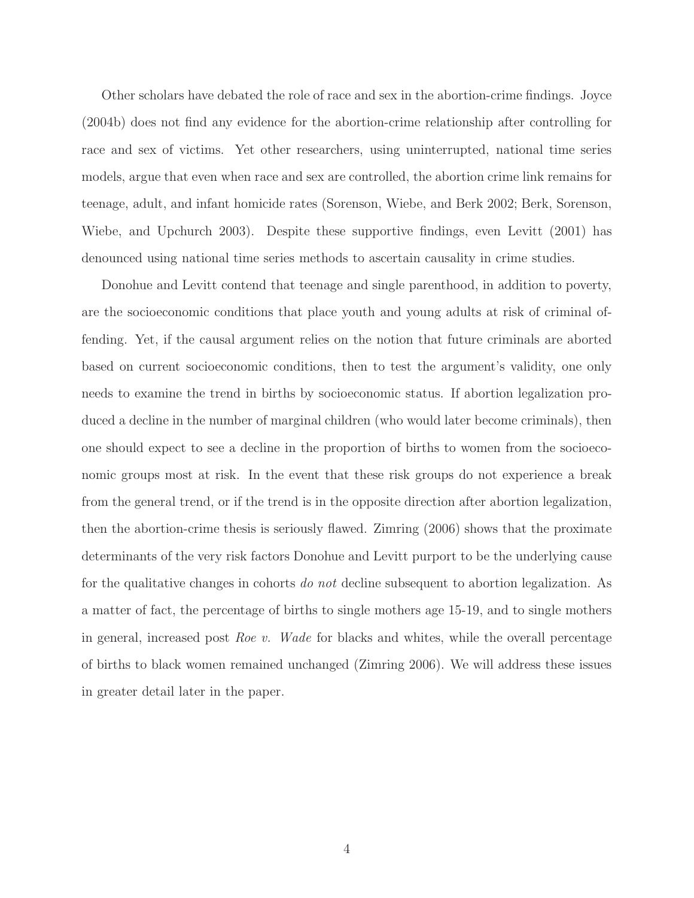Other scholars have debated the role of race and sex in the abortion-crime findings. Joyce (2004b) does not find any evidence for the abortion-crime relationship after controlling for race and sex of victims. Yet other researchers, using uninterrupted, national time series models, argue that even when race and sex are controlled, the abortion crime link remains for teenage, adult, and infant homicide rates (Sorenson, Wiebe, and Berk 2002; Berk, Sorenson, Wiebe, and Upchurch 2003). Despite these supportive findings, even Levitt (2001) has denounced using national time series methods to ascertain causality in crime studies.

Donohue and Levitt contend that teenage and single parenthood, in addition to poverty, are the socioeconomic conditions that place youth and young adults at risk of criminal offending. Yet, if the causal argument relies on the notion that future criminals are aborted based on current socioeconomic conditions, then to test the argument's validity, one only needs to examine the trend in births by socioeconomic status. If abortion legalization produced a decline in the number of marginal children (who would later become criminals), then one should expect to see a decline in the proportion of births to women from the socioeconomic groups most at risk. In the event that these risk groups do not experience a break from the general trend, or if the trend is in the opposite direction after abortion legalization, then the abortion-crime thesis is seriously flawed. Zimring (2006) shows that the proximate determinants of the very risk factors Donohue and Levitt purport to be the underlying cause for the qualitative changes in cohorts do not decline subsequent to abortion legalization. As a matter of fact, the percentage of births to single mothers age 15-19, and to single mothers in general, increased post Roe v. Wade for blacks and whites, while the overall percentage of births to black women remained unchanged (Zimring 2006). We will address these issues in greater detail later in the paper.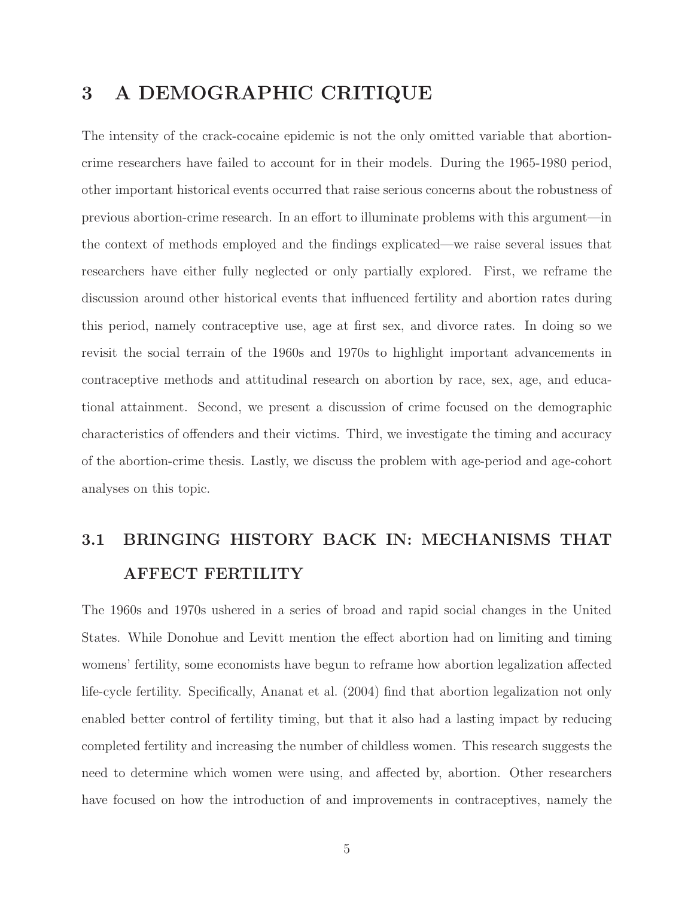# 3 A DEMOGRAPHIC CRITIQUE

The intensity of the crack-cocaine epidemic is not the only omitted variable that abortioncrime researchers have failed to account for in their models. During the 1965-1980 period, other important historical events occurred that raise serious concerns about the robustness of previous abortion-crime research. In an effort to illuminate problems with this argument—in the context of methods employed and the findings explicated—we raise several issues that researchers have either fully neglected or only partially explored. First, we reframe the discussion around other historical events that influenced fertility and abortion rates during this period, namely contraceptive use, age at first sex, and divorce rates. In doing so we revisit the social terrain of the 1960s and 1970s to highlight important advancements in contraceptive methods and attitudinal research on abortion by race, sex, age, and educational attainment. Second, we present a discussion of crime focused on the demographic characteristics of offenders and their victims. Third, we investigate the timing and accuracy of the abortion-crime thesis. Lastly, we discuss the problem with age-period and age-cohort analyses on this topic.

# 3.1 BRINGING HISTORY BACK IN: MECHANISMS THAT AFFECT FERTILITY

The 1960s and 1970s ushered in a series of broad and rapid social changes in the United States. While Donohue and Levitt mention the effect abortion had on limiting and timing womens' fertility, some economists have begun to reframe how abortion legalization affected life-cycle fertility. Specifically, Ananat et al. (2004) find that abortion legalization not only enabled better control of fertility timing, but that it also had a lasting impact by reducing completed fertility and increasing the number of childless women. This research suggests the need to determine which women were using, and affected by, abortion. Other researchers have focused on how the introduction of and improvements in contraceptives, namely the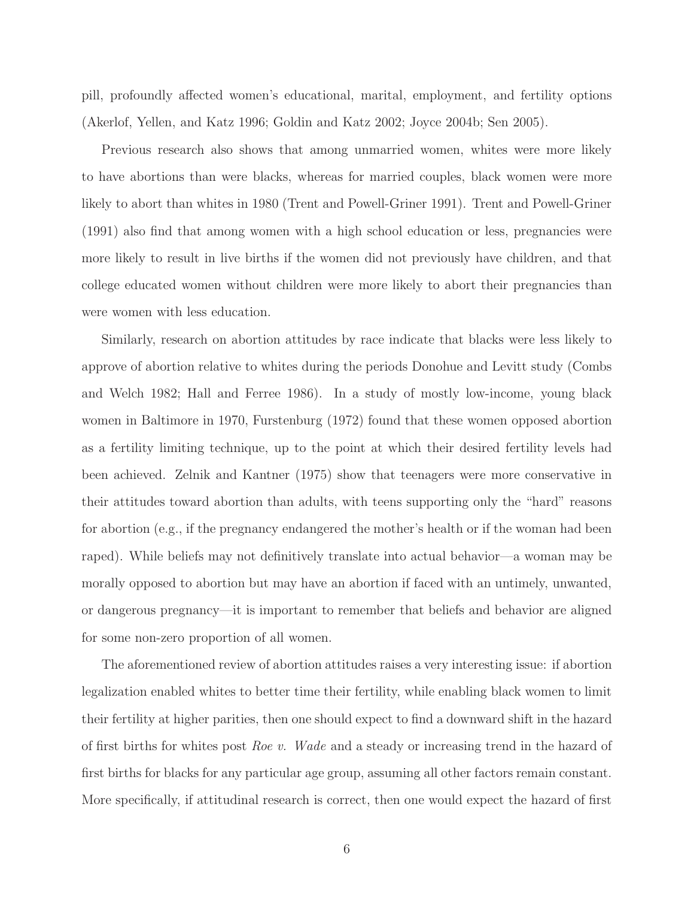pill, profoundly affected women's educational, marital, employment, and fertility options (Akerlof, Yellen, and Katz 1996; Goldin and Katz 2002; Joyce 2004b; Sen 2005).

Previous research also shows that among unmarried women, whites were more likely to have abortions than were blacks, whereas for married couples, black women were more likely to abort than whites in 1980 (Trent and Powell-Griner 1991). Trent and Powell-Griner (1991) also find that among women with a high school education or less, pregnancies were more likely to result in live births if the women did not previously have children, and that college educated women without children were more likely to abort their pregnancies than were women with less education.

Similarly, research on abortion attitudes by race indicate that blacks were less likely to approve of abortion relative to whites during the periods Donohue and Levitt study (Combs and Welch 1982; Hall and Ferree 1986). In a study of mostly low-income, young black women in Baltimore in 1970, Furstenburg (1972) found that these women opposed abortion as a fertility limiting technique, up to the point at which their desired fertility levels had been achieved. Zelnik and Kantner (1975) show that teenagers were more conservative in their attitudes toward abortion than adults, with teens supporting only the "hard" reasons for abortion (e.g., if the pregnancy endangered the mother's health or if the woman had been raped). While beliefs may not definitively translate into actual behavior—a woman may be morally opposed to abortion but may have an abortion if faced with an untimely, unwanted, or dangerous pregnancy—it is important to remember that beliefs and behavior are aligned for some non-zero proportion of all women.

The aforementioned review of abortion attitudes raises a very interesting issue: if abortion legalization enabled whites to better time their fertility, while enabling black women to limit their fertility at higher parities, then one should expect to find a downward shift in the hazard of first births for whites post Roe v. Wade and a steady or increasing trend in the hazard of first births for blacks for any particular age group, assuming all other factors remain constant. More specifically, if attitudinal research is correct, then one would expect the hazard of first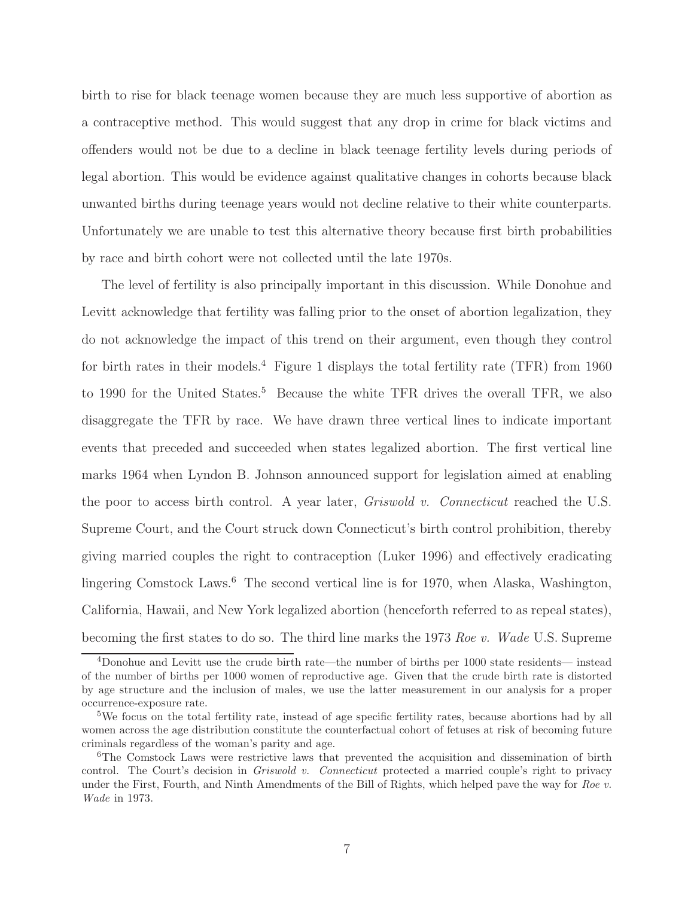birth to rise for black teenage women because they are much less supportive of abortion as a contraceptive method. This would suggest that any drop in crime for black victims and offenders would not be due to a decline in black teenage fertility levels during periods of legal abortion. This would be evidence against qualitative changes in cohorts because black unwanted births during teenage years would not decline relative to their white counterparts. Unfortunately we are unable to test this alternative theory because first birth probabilities by race and birth cohort were not collected until the late 1970s.

The level of fertility is also principally important in this discussion. While Donohue and Levitt acknowledge that fertility was falling prior to the onset of abortion legalization, they do not acknowledge the impact of this trend on their argument, even though they control for birth rates in their models.<sup>4</sup> Figure 1 displays the total fertility rate (TFR) from 1960 to 1990 for the United States.<sup>5</sup> Because the white TFR drives the overall TFR, we also disaggregate the TFR by race. We have drawn three vertical lines to indicate important events that preceded and succeeded when states legalized abortion. The first vertical line marks 1964 when Lyndon B. Johnson announced support for legislation aimed at enabling the poor to access birth control. A year later, Griswold v. Connecticut reached the U.S. Supreme Court, and the Court struck down Connecticut's birth control prohibition, thereby giving married couples the right to contraception (Luker 1996) and effectively eradicating lingering Comstock Laws.<sup>6</sup> The second vertical line is for 1970, when Alaska, Washington, California, Hawaii, and New York legalized abortion (henceforth referred to as repeal states), becoming the first states to do so. The third line marks the 1973 Roe v. Wade U.S. Supreme

<sup>4</sup>Donohue and Levitt use the crude birth rate—the number of births per 1000 state residents— instead of the number of births per 1000 women of reproductive age. Given that the crude birth rate is distorted by age structure and the inclusion of males, we use the latter measurement in our analysis for a proper occurrence-exposure rate.

<sup>5</sup>We focus on the total fertility rate, instead of age specific fertility rates, because abortions had by all women across the age distribution constitute the counterfactual cohort of fetuses at risk of becoming future criminals regardless of the woman's parity and age.

<sup>&</sup>lt;sup>6</sup>The Comstock Laws were restrictive laws that prevented the acquisition and dissemination of birth control. The Court's decision in *Griswold v. Connecticut* protected a married couple's right to privacy under the First, Fourth, and Ninth Amendments of the Bill of Rights, which helped pave the way for Roe v. Wade in 1973.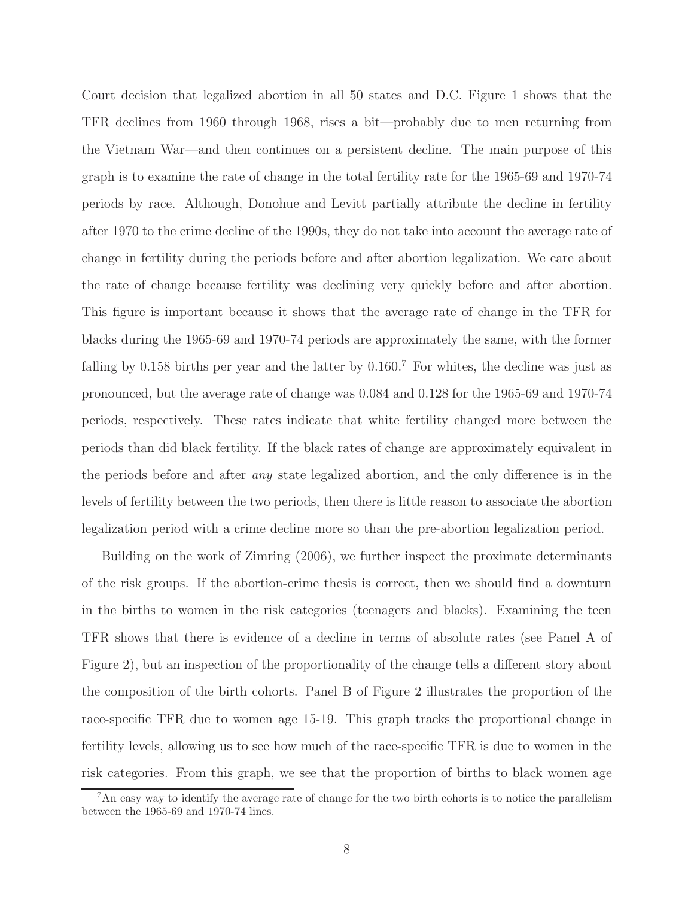Court decision that legalized abortion in all 50 states and D.C. Figure 1 shows that the TFR declines from 1960 through 1968, rises a bit—probably due to men returning from the Vietnam War—and then continues on a persistent decline. The main purpose of this graph is to examine the rate of change in the total fertility rate for the 1965-69 and 1970-74 periods by race. Although, Donohue and Levitt partially attribute the decline in fertility after 1970 to the crime decline of the 1990s, they do not take into account the average rate of change in fertility during the periods before and after abortion legalization. We care about the rate of change because fertility was declining very quickly before and after abortion. This figure is important because it shows that the average rate of change in the TFR for blacks during the 1965-69 and 1970-74 periods are approximately the same, with the former falling by 0.158 births per year and the latter by 0.160.<sup>7</sup> For whites, the decline was just as pronounced, but the average rate of change was 0.084 and 0.128 for the 1965-69 and 1970-74 periods, respectively. These rates indicate that white fertility changed more between the periods than did black fertility. If the black rates of change are approximately equivalent in the periods before and after any state legalized abortion, and the only difference is in the levels of fertility between the two periods, then there is little reason to associate the abortion legalization period with a crime decline more so than the pre-abortion legalization period.

Building on the work of Zimring (2006), we further inspect the proximate determinants of the risk groups. If the abortion-crime thesis is correct, then we should find a downturn in the births to women in the risk categories (teenagers and blacks). Examining the teen TFR shows that there is evidence of a decline in terms of absolute rates (see Panel A of Figure 2), but an inspection of the proportionality of the change tells a different story about the composition of the birth cohorts. Panel B of Figure 2 illustrates the proportion of the race-specific TFR due to women age 15-19. This graph tracks the proportional change in fertility levels, allowing us to see how much of the race-specific TFR is due to women in the risk categories. From this graph, we see that the proportion of births to black women age

<sup>&</sup>lt;sup>7</sup>An easy way to identify the average rate of change for the two birth cohorts is to notice the parallelism between the 1965-69 and 1970-74 lines.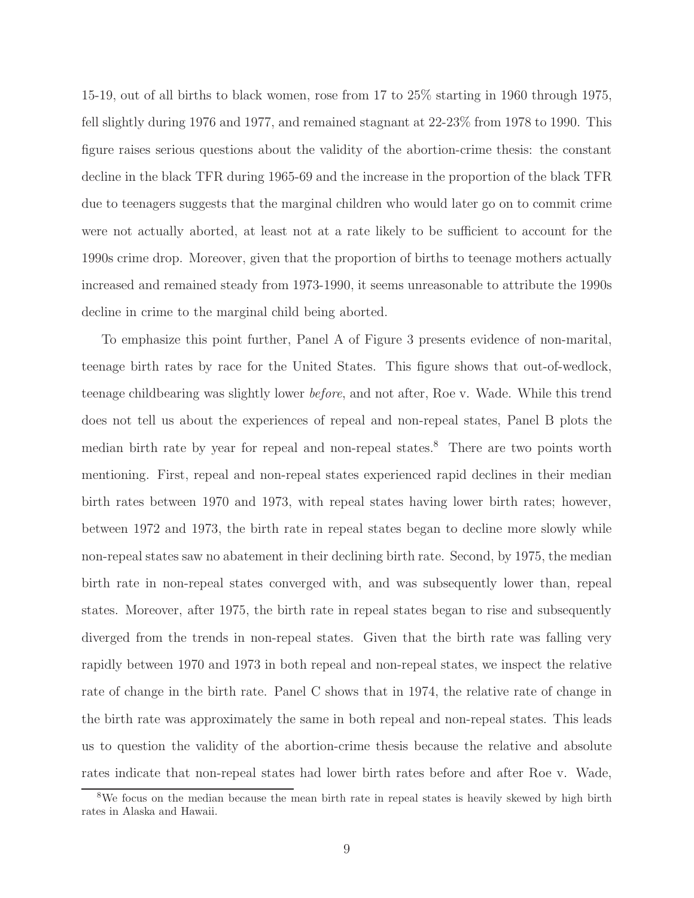15-19, out of all births to black women, rose from 17 to 25% starting in 1960 through 1975, fell slightly during 1976 and 1977, and remained stagnant at 22-23% from 1978 to 1990. This figure raises serious questions about the validity of the abortion-crime thesis: the constant decline in the black TFR during 1965-69 and the increase in the proportion of the black TFR due to teenagers suggests that the marginal children who would later go on to commit crime were not actually aborted, at least not at a rate likely to be sufficient to account for the 1990s crime drop. Moreover, given that the proportion of births to teenage mothers actually increased and remained steady from 1973-1990, it seems unreasonable to attribute the 1990s decline in crime to the marginal child being aborted.

To emphasize this point further, Panel A of Figure 3 presents evidence of non-marital, teenage birth rates by race for the United States. This figure shows that out-of-wedlock, teenage childbearing was slightly lower before, and not after, Roe v. Wade. While this trend does not tell us about the experiences of repeal and non-repeal states, Panel B plots the median birth rate by year for repeal and non-repeal states.<sup>8</sup> There are two points worth mentioning. First, repeal and non-repeal states experienced rapid declines in their median birth rates between 1970 and 1973, with repeal states having lower birth rates; however, between 1972 and 1973, the birth rate in repeal states began to decline more slowly while non-repeal states saw no abatement in their declining birth rate. Second, by 1975, the median birth rate in non-repeal states converged with, and was subsequently lower than, repeal states. Moreover, after 1975, the birth rate in repeal states began to rise and subsequently diverged from the trends in non-repeal states. Given that the birth rate was falling very rapidly between 1970 and 1973 in both repeal and non-repeal states, we inspect the relative rate of change in the birth rate. Panel C shows that in 1974, the relative rate of change in the birth rate was approximately the same in both repeal and non-repeal states. This leads us to question the validity of the abortion-crime thesis because the relative and absolute rates indicate that non-repeal states had lower birth rates before and after Roe v. Wade,

<sup>&</sup>lt;sup>8</sup>We focus on the median because the mean birth rate in repeal states is heavily skewed by high birth rates in Alaska and Hawaii.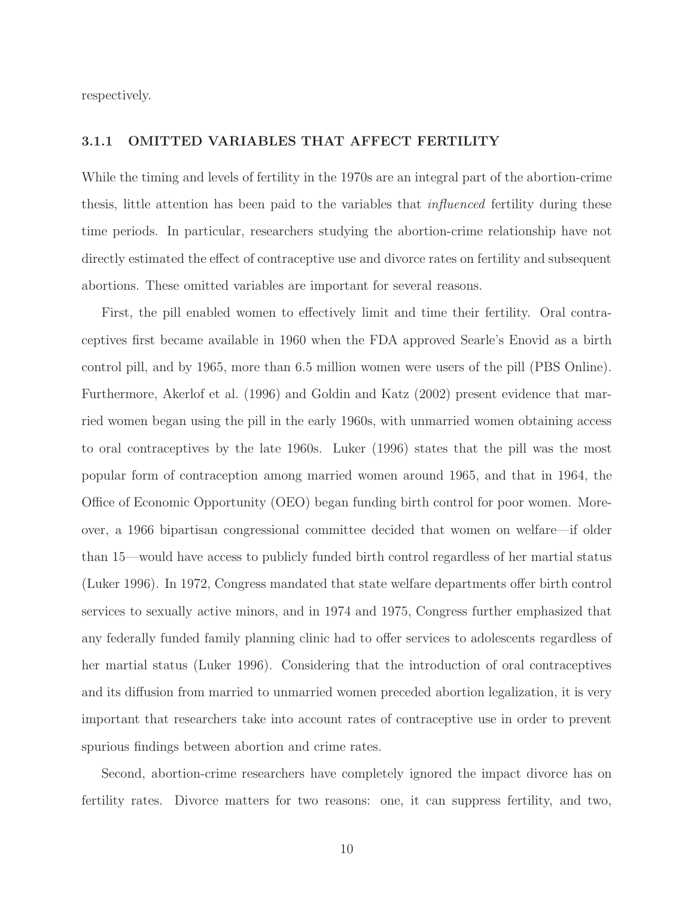respectively.

#### 3.1.1 OMITTED VARIABLES THAT AFFECT FERTILITY

While the timing and levels of fertility in the 1970s are an integral part of the abortion-crime thesis, little attention has been paid to the variables that influenced fertility during these time periods. In particular, researchers studying the abortion-crime relationship have not directly estimated the effect of contraceptive use and divorce rates on fertility and subsequent abortions. These omitted variables are important for several reasons.

First, the pill enabled women to effectively limit and time their fertility. Oral contraceptives first became available in 1960 when the FDA approved Searle's Enovid as a birth control pill, and by 1965, more than 6.5 million women were users of the pill (PBS Online). Furthermore, Akerlof et al. (1996) and Goldin and Katz (2002) present evidence that married women began using the pill in the early 1960s, with unmarried women obtaining access to oral contraceptives by the late 1960s. Luker (1996) states that the pill was the most popular form of contraception among married women around 1965, and that in 1964, the Office of Economic Opportunity (OEO) began funding birth control for poor women. Moreover, a 1966 bipartisan congressional committee decided that women on welfare—if older than 15—would have access to publicly funded birth control regardless of her martial status (Luker 1996). In 1972, Congress mandated that state welfare departments offer birth control services to sexually active minors, and in 1974 and 1975, Congress further emphasized that any federally funded family planning clinic had to offer services to adolescents regardless of her martial status (Luker 1996). Considering that the introduction of oral contraceptives and its diffusion from married to unmarried women preceded abortion legalization, it is very important that researchers take into account rates of contraceptive use in order to prevent spurious findings between abortion and crime rates.

Second, abortion-crime researchers have completely ignored the impact divorce has on fertility rates. Divorce matters for two reasons: one, it can suppress fertility, and two,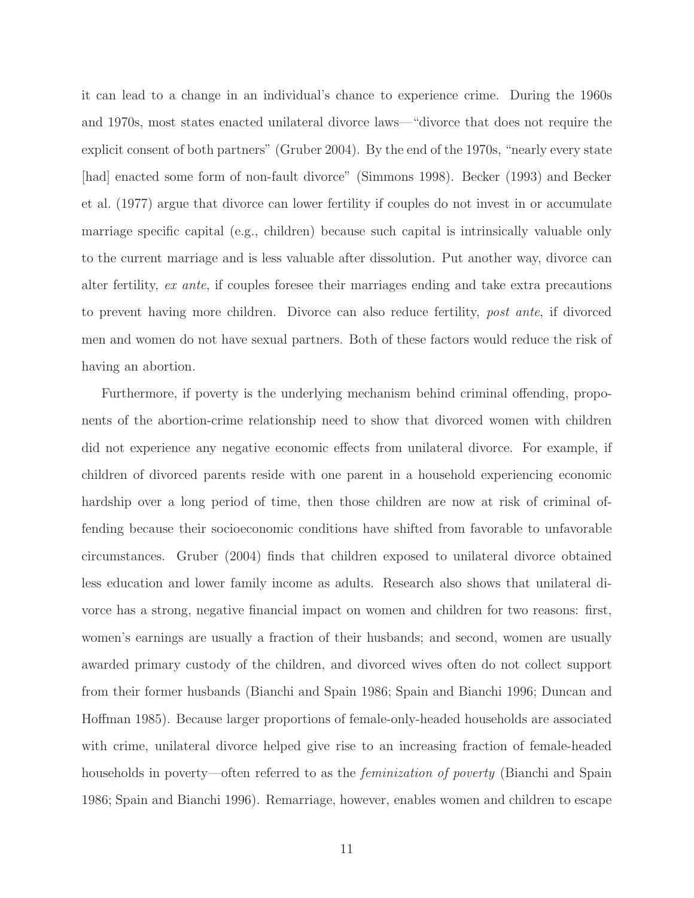it can lead to a change in an individual's chance to experience crime. During the 1960s and 1970s, most states enacted unilateral divorce laws—"divorce that does not require the explicit consent of both partners" (Gruber 2004). By the end of the 1970s, "nearly every state [had] enacted some form of non-fault divorce" (Simmons 1998). Becker (1993) and Becker et al. (1977) argue that divorce can lower fertility if couples do not invest in or accumulate marriage specific capital (e.g., children) because such capital is intrinsically valuable only to the current marriage and is less valuable after dissolution. Put another way, divorce can alter fertility, ex ante, if couples foresee their marriages ending and take extra precautions to prevent having more children. Divorce can also reduce fertility, post ante, if divorced men and women do not have sexual partners. Both of these factors would reduce the risk of having an abortion.

Furthermore, if poverty is the underlying mechanism behind criminal offending, proponents of the abortion-crime relationship need to show that divorced women with children did not experience any negative economic effects from unilateral divorce. For example, if children of divorced parents reside with one parent in a household experiencing economic hardship over a long period of time, then those children are now at risk of criminal offending because their socioeconomic conditions have shifted from favorable to unfavorable circumstances. Gruber (2004) finds that children exposed to unilateral divorce obtained less education and lower family income as adults. Research also shows that unilateral divorce has a strong, negative financial impact on women and children for two reasons: first, women's earnings are usually a fraction of their husbands; and second, women are usually awarded primary custody of the children, and divorced wives often do not collect support from their former husbands (Bianchi and Spain 1986; Spain and Bianchi 1996; Duncan and Hoffman 1985). Because larger proportions of female-only-headed households are associated with crime, unilateral divorce helped give rise to an increasing fraction of female-headed households in poverty—often referred to as the *feminization of poverty* (Bianchi and Spain 1986; Spain and Bianchi 1996). Remarriage, however, enables women and children to escape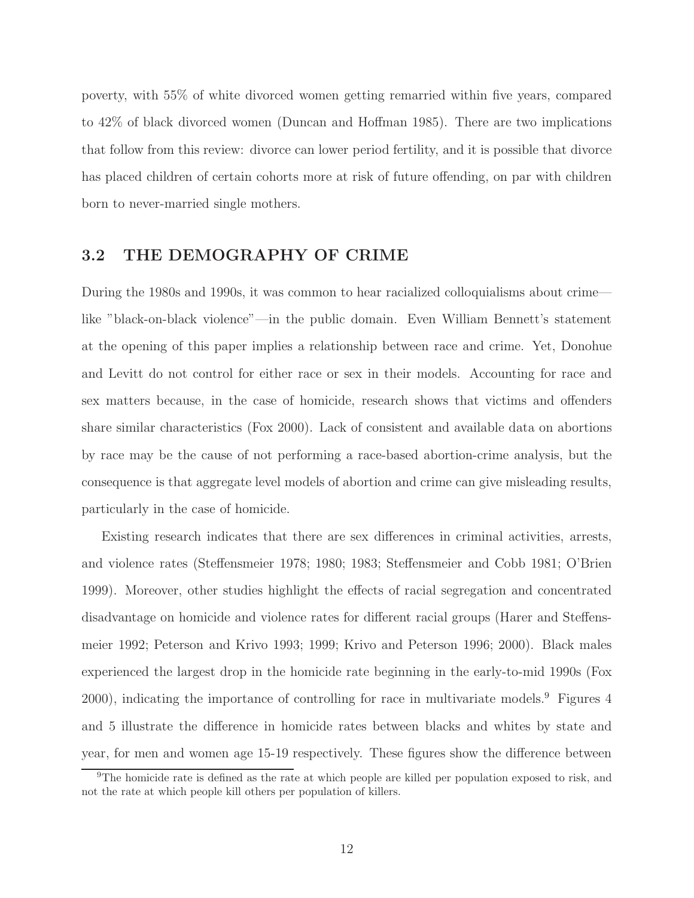poverty, with 55% of white divorced women getting remarried within five years, compared to 42% of black divorced women (Duncan and Hoffman 1985). There are two implications that follow from this review: divorce can lower period fertility, and it is possible that divorce has placed children of certain cohorts more at risk of future offending, on par with children born to never-married single mothers.

## 3.2 THE DEMOGRAPHY OF CRIME

During the 1980s and 1990s, it was common to hear racialized colloquialisms about crime like "black-on-black violence"—in the public domain. Even William Bennett's statement at the opening of this paper implies a relationship between race and crime. Yet, Donohue and Levitt do not control for either race or sex in their models. Accounting for race and sex matters because, in the case of homicide, research shows that victims and offenders share similar characteristics (Fox 2000). Lack of consistent and available data on abortions by race may be the cause of not performing a race-based abortion-crime analysis, but the consequence is that aggregate level models of abortion and crime can give misleading results, particularly in the case of homicide.

Existing research indicates that there are sex differences in criminal activities, arrests, and violence rates (Steffensmeier 1978; 1980; 1983; Steffensmeier and Cobb 1981; O'Brien 1999). Moreover, other studies highlight the effects of racial segregation and concentrated disadvantage on homicide and violence rates for different racial groups (Harer and Steffensmeier 1992; Peterson and Krivo 1993; 1999; Krivo and Peterson 1996; 2000). Black males experienced the largest drop in the homicide rate beginning in the early-to-mid 1990s (Fox 2000), indicating the importance of controlling for race in multivariate models.<sup>9</sup> Figures 4 and 5 illustrate the difference in homicide rates between blacks and whites by state and year, for men and women age 15-19 respectively. These figures show the difference between

<sup>&</sup>lt;sup>9</sup>The homicide rate is defined as the rate at which people are killed per population exposed to risk, and not the rate at which people kill others per population of killers.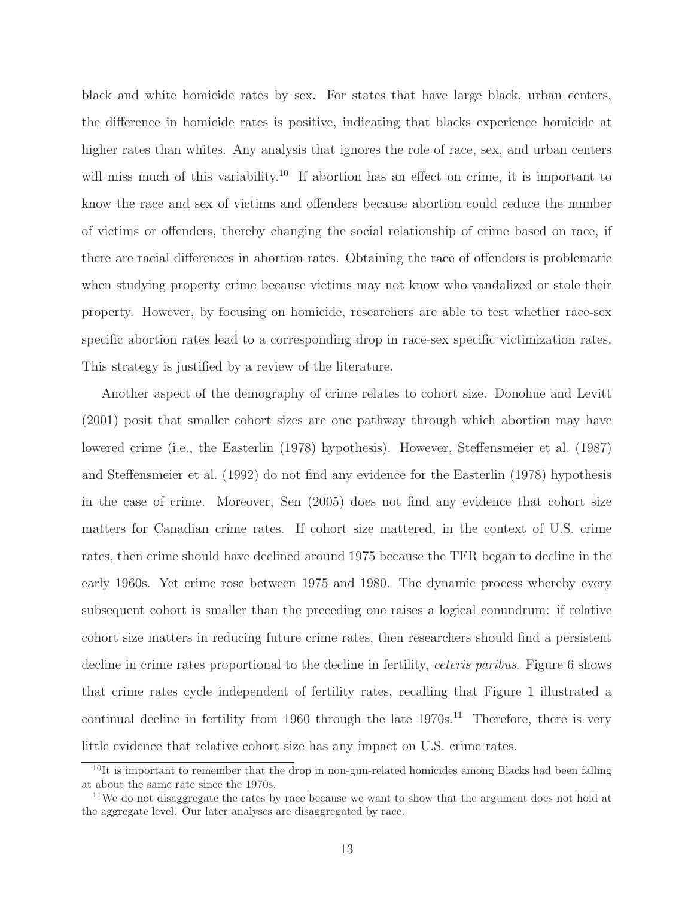black and white homicide rates by sex. For states that have large black, urban centers, the difference in homicide rates is positive, indicating that blacks experience homicide at higher rates than whites. Any analysis that ignores the role of race, sex, and urban centers will miss much of this variability.<sup>10</sup> If abortion has an effect on crime, it is important to know the race and sex of victims and offenders because abortion could reduce the number of victims or offenders, thereby changing the social relationship of crime based on race, if there are racial differences in abortion rates. Obtaining the race of offenders is problematic when studying property crime because victims may not know who vandalized or stole their property. However, by focusing on homicide, researchers are able to test whether race-sex specific abortion rates lead to a corresponding drop in race-sex specific victimization rates. This strategy is justified by a review of the literature.

Another aspect of the demography of crime relates to cohort size. Donohue and Levitt (2001) posit that smaller cohort sizes are one pathway through which abortion may have lowered crime (i.e., the Easterlin (1978) hypothesis). However, Steffensmeier et al. (1987) and Steffensmeier et al. (1992) do not find any evidence for the Easterlin (1978) hypothesis in the case of crime. Moreover, Sen (2005) does not find any evidence that cohort size matters for Canadian crime rates. If cohort size mattered, in the context of U.S. crime rates, then crime should have declined around 1975 because the TFR began to decline in the early 1960s. Yet crime rose between 1975 and 1980. The dynamic process whereby every subsequent cohort is smaller than the preceding one raises a logical conundrum: if relative cohort size matters in reducing future crime rates, then researchers should find a persistent decline in crime rates proportional to the decline in fertility, *ceteris paribus*. Figure 6 shows that crime rates cycle independent of fertility rates, recalling that Figure 1 illustrated a continual decline in fertility from 1960 through the late  $1970s<sup>11</sup>$ . Therefore, there is very little evidence that relative cohort size has any impact on U.S. crime rates.

 $10$ It is important to remember that the drop in non-gun-related homicides among Blacks had been falling at about the same rate since the 1970s.

 $11$ We do not disaggregate the rates by race because we want to show that the argument does not hold at the aggregate level. Our later analyses are disaggregated by race.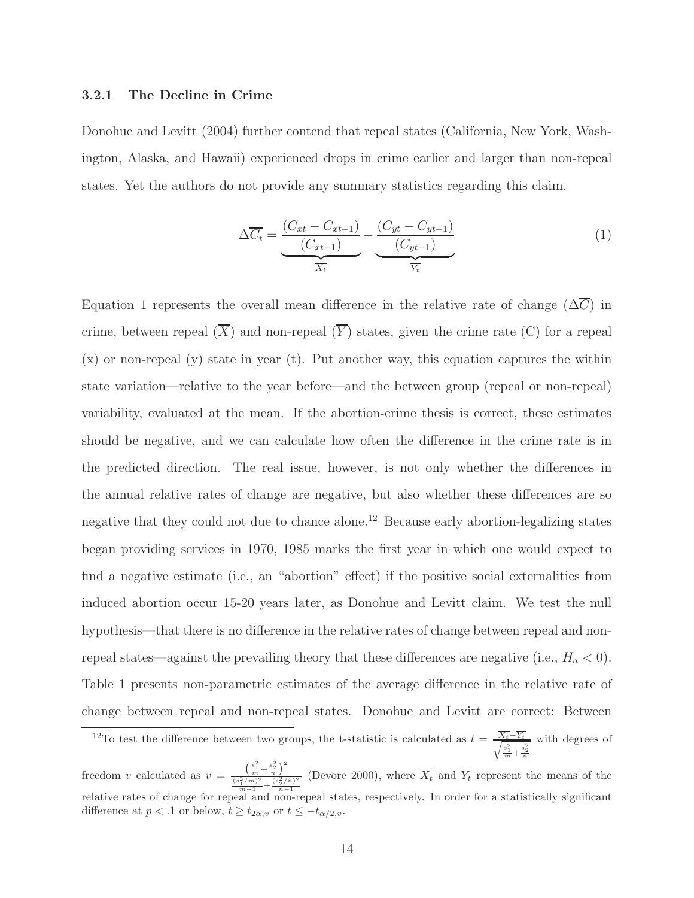#### 3.2.1 The Decline in Crime

Donohue and Levitt (2004) further contend that repeal states (California, New York, Washington, Alaska, and Hawaii) experienced drops in crime earlier and larger than non-repeal states. Yet the authors do not provide any summary statistics regarding this claim.

$$
\Delta \overline{C_t} = \underbrace{\frac{(C_{xt} - C_{xt-1})}{(C_{xt-1})}}_{\overline{X_t}} - \underbrace{\frac{(C_{yt} - C_{yt-1})}{(C_{yt-1})}}_{\overline{Y_t}}
$$
\n(1)

Equation 1 represents the overall mean difference in the relative rate of change  $(\Delta \overline{C})$  in crime, between repeal  $(\overline{X})$  and non-repeal  $(\overline{Y})$  states, given the crime rate (C) for a repeal (x) or non-repeal (y) state in year (t). Put another way, this equation captures the within state variation—relative to the year before—and the between group (repeal or non-repeal) variability, evaluated at the mean. If the abortion-crime thesis is correct, these estimates should be negative, and we can calculate how often the difference in the crime rate is in the predicted direction. The real issue, however, is not only whether the differences in the annual relative rates of change are negative, but also whether these differences are so negative that they could not due to chance alone.<sup>12</sup> Because early abortion-legalizing states began providing services in 1970, 1985 marks the first year in which one would expect to find a negative estimate (i.e., an "abortion" effect) if the positive social externalities from induced abortion occur 15-20 years later, as Donohue and Levitt claim. We test the null hypothesis—that there is no difference in the relative rates of change between repeal and nonrepeal states—against the prevailing theory that these differences are negative (i.e.,  $H_a < 0$ ). Table 1 presents non-parametric estimates of the average difference in the relative rate of change between repeal and non-repeal states. Donohue and Levitt are correct: Between

<sup>&</sup>lt;sup>12</sup>To test the difference between two groups, the t-statistic is calculated as  $t = \frac{\overline{X_t} - \overline{Y_t}}{\sqrt{s^2 + x^2}}$  $\frac{s_1^2}{m} + \frac{s_2^2}{n}$ with degrees of  $\left(\frac{s_1^2}{m} + \frac{s_2^2}{n}\right)^2$ 

freedom  $v$  calculated as  $v =$  $\frac{(s_1^2/m)^2}{m-1} + \frac{(s_2^2/n)^2}{n-1}$ (Devore 2000), where  $X_t$  and  $Y_t$  represent the means of the relative rates of change for repeal and non-repeal states, respectively. In order for a statistically significant difference at  $p < 0.1$  or below,  $t \ge t_{2\alpha,v}$  or  $t \le -t_{\alpha/2,v}$ .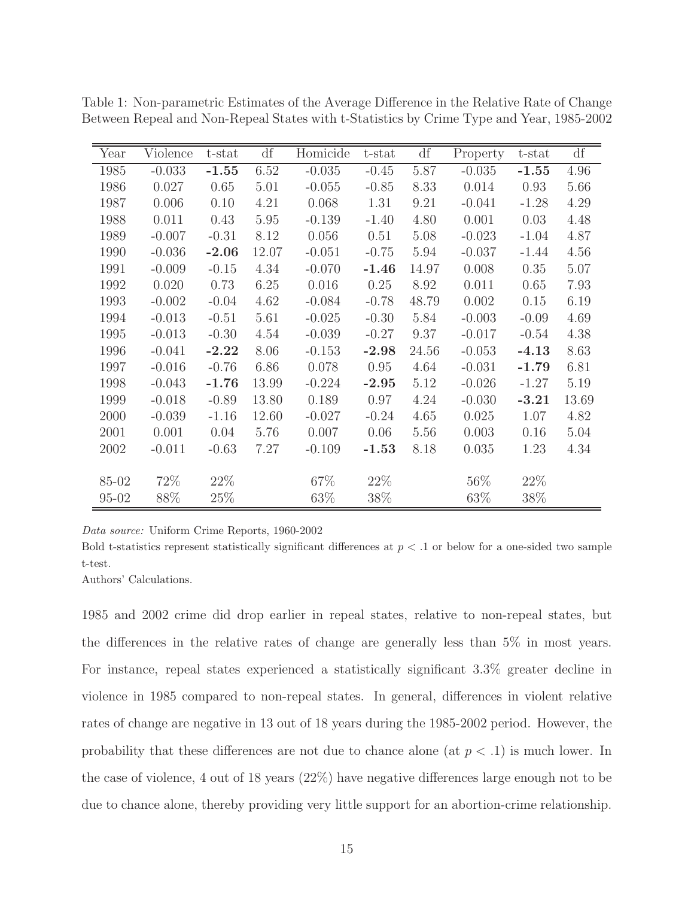| Year      | Violence | t-stat  | df    | Homicide  | t-stat  | df    | Property | t-stat  | df    |
|-----------|----------|---------|-------|-----------|---------|-------|----------|---------|-------|
| 1985      | $-0.033$ | $-1.55$ | 6.52  | $-0.035$  | $-0.45$ | 5.87  | $-0.035$ | $-1.55$ | 4.96  |
| 1986      | 0.027    | 0.65    | 5.01  | $-0.055$  | $-0.85$ | 8.33  | 0.014    | 0.93    | 5.66  |
| 1987      | 0.006    | 0.10    | 4.21  | 0.068     | 1.31    | 9.21  | $-0.041$ | $-1.28$ | 4.29  |
| 1988      | 0.011    | 0.43    | 5.95  | $-0.139$  | $-1.40$ | 4.80  | 0.001    | 0.03    | 4.48  |
| 1989      | $-0.007$ | $-0.31$ | 8.12  | 0.056     | 0.51    | 5.08  | $-0.023$ | $-1.04$ | 4.87  |
| 1990      | $-0.036$ | $-2.06$ | 12.07 | $-0.051$  | $-0.75$ | 5.94  | $-0.037$ | $-1.44$ | 4.56  |
| 1991      | $-0.009$ | $-0.15$ | 4.34  | $-0.070$  | $-1.46$ | 14.97 | 0.008    | 0.35    | 5.07  |
| 1992      | 0.020    | 0.73    | 6.25  | $0.016\,$ | 0.25    | 8.92  | 0.011    | 0.65    | 7.93  |
| 1993      | $-0.002$ | $-0.04$ | 4.62  | $-0.084$  | $-0.78$ | 48.79 | 0.002    | 0.15    | 6.19  |
| 1994      | $-0.013$ | $-0.51$ | 5.61  | $-0.025$  | $-0.30$ | 5.84  | $-0.003$ | $-0.09$ | 4.69  |
| 1995      | $-0.013$ | $-0.30$ | 4.54  | $-0.039$  | $-0.27$ | 9.37  | $-0.017$ | $-0.54$ | 4.38  |
| 1996      | $-0.041$ | $-2.22$ | 8.06  | $-0.153$  | $-2.98$ | 24.56 | $-0.053$ | $-4.13$ | 8.63  |
| 1997      | $-0.016$ | $-0.76$ | 6.86  | 0.078     | 0.95    | 4.64  | $-0.031$ | $-1.79$ | 6.81  |
| 1998      | $-0.043$ | $-1.76$ | 13.99 | $-0.224$  | $-2.95$ | 5.12  | $-0.026$ | $-1.27$ | 5.19  |
| 1999      | $-0.018$ | $-0.89$ | 13.80 | 0.189     | 0.97    | 4.24  | $-0.030$ | $-3.21$ | 13.69 |
| 2000      | $-0.039$ | $-1.16$ | 12.60 | $-0.027$  | $-0.24$ | 4.65  | 0.025    | 1.07    | 4.82  |
| 2001      | 0.001    | 0.04    | 5.76  | 0.007     | 0.06    | 5.56  | 0.003    | 0.16    | 5.04  |
| 2002      | $-0.011$ | $-0.63$ | 7.27  | $-0.109$  | $-1.53$ | 8.18  | 0.035    | 1.23    | 4.34  |
|           |          |         |       |           |         |       |          |         |       |
| 85-02     | 72%      | 22\%    |       | 67%       | 22\%    |       | $56\%$   | $22\%$  |       |
| $95 - 02$ | 88%      | 25\%    |       | 63%       | $38\%$  |       | 63%      | 38%     |       |

Table 1: Non-parametric Estimates of the Average Difference in the Relative Rate of Change Between Repeal and Non-Repeal States with t-Statistics by Crime Type and Year, 1985-2002

Data source: Uniform Crime Reports, 1960-2002

Bold t-statistics represent statistically significant differences at  $p < 0.1$  or below for a one-sided two sample t-test.

Authors' Calculations.

1985 and 2002 crime did drop earlier in repeal states, relative to non-repeal states, but the differences in the relative rates of change are generally less than 5% in most years. For instance, repeal states experienced a statistically significant 3.3% greater decline in violence in 1985 compared to non-repeal states. In general, differences in violent relative rates of change are negative in 13 out of 18 years during the 1985-2002 period. However, the probability that these differences are not due to chance alone (at  $p < .1$ ) is much lower. In the case of violence, 4 out of 18 years (22%) have negative differences large enough not to be due to chance alone, thereby providing very little support for an abortion-crime relationship.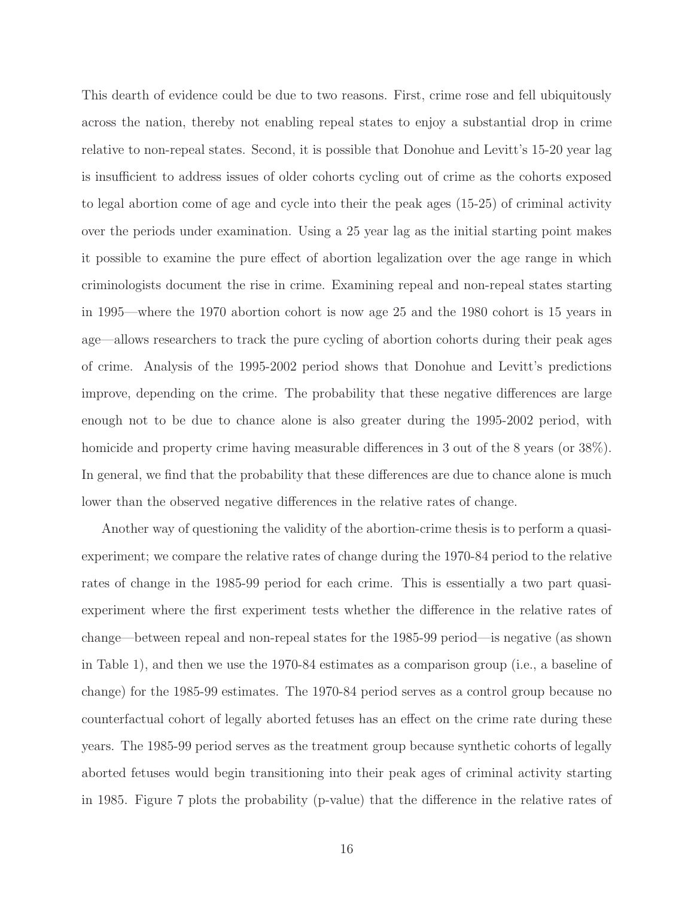This dearth of evidence could be due to two reasons. First, crime rose and fell ubiquitously across the nation, thereby not enabling repeal states to enjoy a substantial drop in crime relative to non-repeal states. Second, it is possible that Donohue and Levitt's 15-20 year lag is insufficient to address issues of older cohorts cycling out of crime as the cohorts exposed to legal abortion come of age and cycle into their the peak ages (15-25) of criminal activity over the periods under examination. Using a 25 year lag as the initial starting point makes it possible to examine the pure effect of abortion legalization over the age range in which criminologists document the rise in crime. Examining repeal and non-repeal states starting in 1995—where the 1970 abortion cohort is now age 25 and the 1980 cohort is 15 years in age—allows researchers to track the pure cycling of abortion cohorts during their peak ages of crime. Analysis of the 1995-2002 period shows that Donohue and Levitt's predictions improve, depending on the crime. The probability that these negative differences are large enough not to be due to chance alone is also greater during the 1995-2002 period, with homicide and property crime having measurable differences in 3 out of the 8 years (or 38%). In general, we find that the probability that these differences are due to chance alone is much lower than the observed negative differences in the relative rates of change.

Another way of questioning the validity of the abortion-crime thesis is to perform a quasiexperiment; we compare the relative rates of change during the 1970-84 period to the relative rates of change in the 1985-99 period for each crime. This is essentially a two part quasiexperiment where the first experiment tests whether the difference in the relative rates of change—between repeal and non-repeal states for the 1985-99 period—is negative (as shown in Table 1), and then we use the 1970-84 estimates as a comparison group (i.e., a baseline of change) for the 1985-99 estimates. The 1970-84 period serves as a control group because no counterfactual cohort of legally aborted fetuses has an effect on the crime rate during these years. The 1985-99 period serves as the treatment group because synthetic cohorts of legally aborted fetuses would begin transitioning into their peak ages of criminal activity starting in 1985. Figure 7 plots the probability (p-value) that the difference in the relative rates of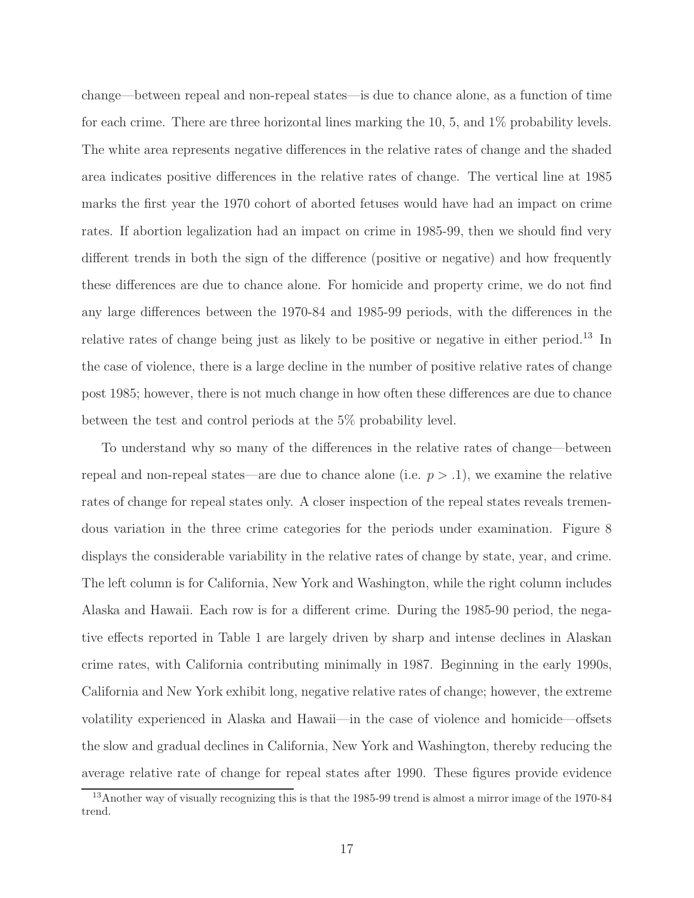change—between repeal and non-repeal states—is due to chance alone, as a function of time for each crime. There are three horizontal lines marking the 10, 5, and 1% probability levels. The white area represents negative differences in the relative rates of change and the shaded area indicates positive differences in the relative rates of change. The vertical line at 1985 marks the first year the 1970 cohort of aborted fetuses would have had an impact on crime rates. If abortion legalization had an impact on crime in 1985-99, then we should find very different trends in both the sign of the difference (positive or negative) and how frequently these differences are due to chance alone. For homicide and property crime, we do not find any large differences between the 1970-84 and 1985-99 periods, with the differences in the relative rates of change being just as likely to be positive or negative in either period.<sup>13</sup> In the case of violence, there is a large decline in the number of positive relative rates of change post 1985; however, there is not much change in how often these differences are due to chance between the test and control periods at the 5% probability level.

To understand why so many of the differences in the relative rates of change—between repeal and non-repeal states—are due to chance alone (i.e.  $p > .1$ ), we examine the relative rates of change for repeal states only. A closer inspection of the repeal states reveals tremendous variation in the three crime categories for the periods under examination. Figure 8 displays the considerable variability in the relative rates of change by state, year, and crime. The left column is for California, New York and Washington, while the right column includes Alaska and Hawaii. Each row is for a different crime. During the 1985-90 period, the negative effects reported in Table 1 are largely driven by sharp and intense declines in Alaskan crime rates, with California contributing minimally in 1987. Beginning in the early 1990s, California and New York exhibit long, negative relative rates of change; however, the extreme volatility experienced in Alaska and Hawaii—in the case of violence and homicide—offsets the slow and gradual declines in California, New York and Washington, thereby reducing the average relative rate of change for repeal states after 1990. These figures provide evidence

<sup>&</sup>lt;sup>13</sup>Another way of visually recognizing this is that the 1985-99 trend is almost a mirror image of the 1970-84 trend.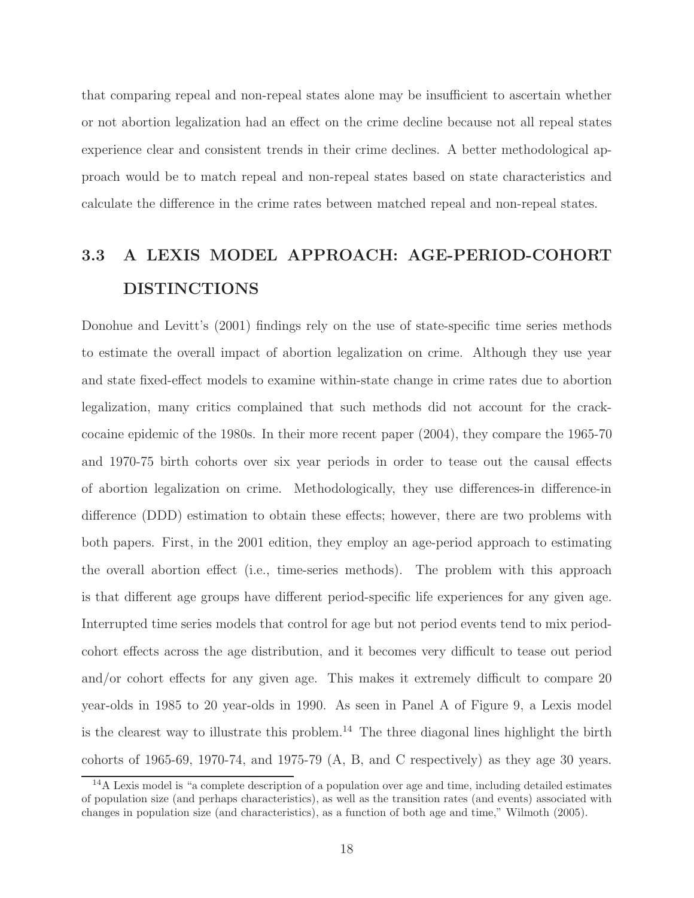that comparing repeal and non-repeal states alone may be insufficient to ascertain whether or not abortion legalization had an effect on the crime decline because not all repeal states experience clear and consistent trends in their crime declines. A better methodological approach would be to match repeal and non-repeal states based on state characteristics and calculate the difference in the crime rates between matched repeal and non-repeal states.

# 3.3 A LEXIS MODEL APPROACH: AGE-PERIOD-COHORT DISTINCTIONS

Donohue and Levitt's (2001) findings rely on the use of state-specific time series methods to estimate the overall impact of abortion legalization on crime. Although they use year and state fixed-effect models to examine within-state change in crime rates due to abortion legalization, many critics complained that such methods did not account for the crackcocaine epidemic of the 1980s. In their more recent paper (2004), they compare the 1965-70 and 1970-75 birth cohorts over six year periods in order to tease out the causal effects of abortion legalization on crime. Methodologically, they use differences-in difference-in difference (DDD) estimation to obtain these effects; however, there are two problems with both papers. First, in the 2001 edition, they employ an age-period approach to estimating the overall abortion effect (i.e., time-series methods). The problem with this approach is that different age groups have different period-specific life experiences for any given age. Interrupted time series models that control for age but not period events tend to mix periodcohort effects across the age distribution, and it becomes very difficult to tease out period and/or cohort effects for any given age. This makes it extremely difficult to compare 20 year-olds in 1985 to 20 year-olds in 1990. As seen in Panel A of Figure 9, a Lexis model is the clearest way to illustrate this problem.<sup>14</sup> The three diagonal lines highlight the birth cohorts of 1965-69, 1970-74, and 1975-79 (A, B, and C respectively) as they age 30 years.

<sup>&</sup>lt;sup>14</sup>A Lexis model is "a complete description of a population over age and time, including detailed estimates of population size (and perhaps characteristics), as well as the transition rates (and events) associated with changes in population size (and characteristics), as a function of both age and time," Wilmoth (2005).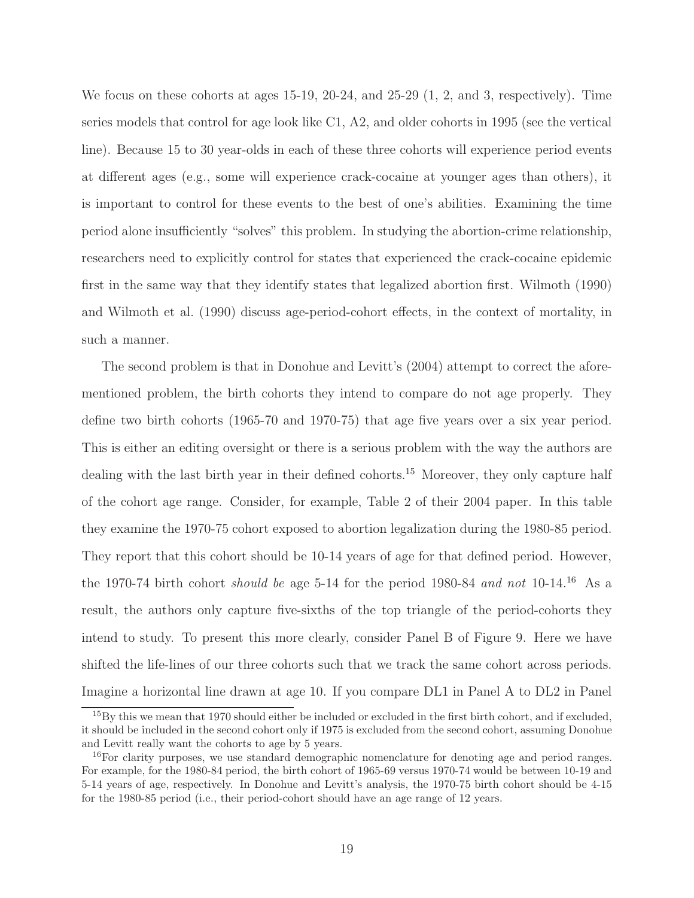We focus on these cohorts at ages 15-19, 20-24, and 25-29  $(1, 2, \text{ and } 3, \text{ respectively})$ . Time series models that control for age look like C1, A2, and older cohorts in 1995 (see the vertical line). Because 15 to 30 year-olds in each of these three cohorts will experience period events at different ages (e.g., some will experience crack-cocaine at younger ages than others), it is important to control for these events to the best of one's abilities. Examining the time period alone insufficiently "solves" this problem. In studying the abortion-crime relationship, researchers need to explicitly control for states that experienced the crack-cocaine epidemic first in the same way that they identify states that legalized abortion first. Wilmoth (1990) and Wilmoth et al. (1990) discuss age-period-cohort effects, in the context of mortality, in such a manner.

The second problem is that in Donohue and Levitt's (2004) attempt to correct the aforementioned problem, the birth cohorts they intend to compare do not age properly. They define two birth cohorts (1965-70 and 1970-75) that age five years over a six year period. This is either an editing oversight or there is a serious problem with the way the authors are dealing with the last birth year in their defined cohorts.<sup>15</sup> Moreover, they only capture half of the cohort age range. Consider, for example, Table 2 of their 2004 paper. In this table they examine the 1970-75 cohort exposed to abortion legalization during the 1980-85 period. They report that this cohort should be 10-14 years of age for that defined period. However, the 1970-74 birth cohort should be age 5-14 for the period 1980-84 and not 10-14.<sup>16</sup> As a result, the authors only capture five-sixths of the top triangle of the period-cohorts they intend to study. To present this more clearly, consider Panel B of Figure 9. Here we have shifted the life-lines of our three cohorts such that we track the same cohort across periods. Imagine a horizontal line drawn at age 10. If you compare DL1 in Panel A to DL2 in Panel

<sup>&</sup>lt;sup>15</sup>By this we mean that 1970 should either be included or excluded in the first birth cohort, and if excluded, it should be included in the second cohort only if 1975 is excluded from the second cohort, assuming Donohue and Levitt really want the cohorts to age by 5 years.

<sup>&</sup>lt;sup>16</sup>For clarity purposes, we use standard demographic nomenclature for denoting age and period ranges. For example, for the 1980-84 period, the birth cohort of 1965-69 versus 1970-74 would be between 10-19 and 5-14 years of age, respectively. In Donohue and Levitt's analysis, the 1970-75 birth cohort should be 4-15 for the 1980-85 period (i.e., their period-cohort should have an age range of 12 years.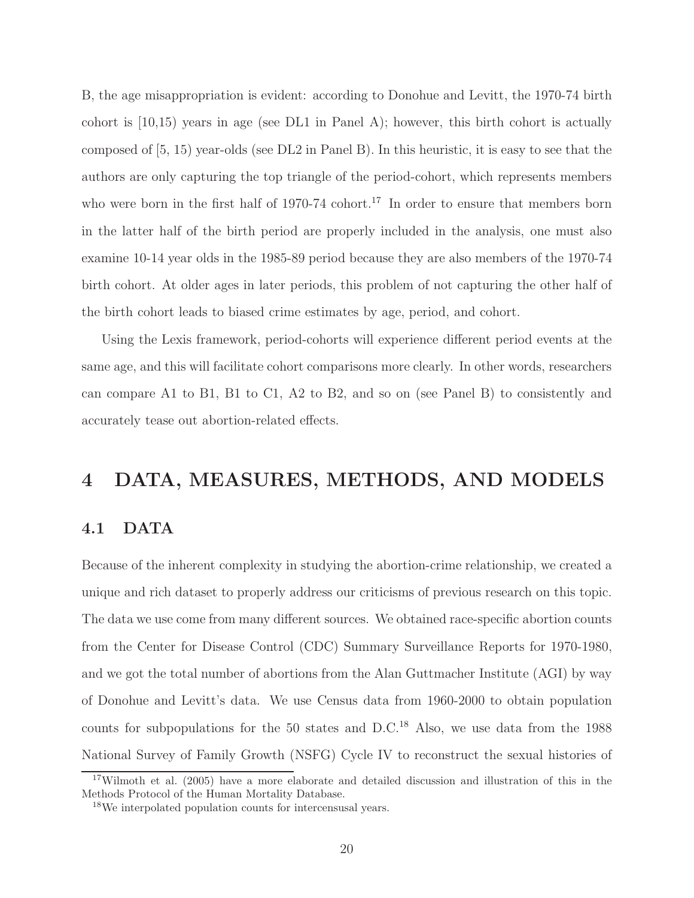B, the age misappropriation is evident: according to Donohue and Levitt, the 1970-74 birth cohort is [10,15) years in age (see DL1 in Panel A); however, this birth cohort is actually composed of [5, 15) year-olds (see DL2 in Panel B). In this heuristic, it is easy to see that the authors are only capturing the top triangle of the period-cohort, which represents members who were born in the first half of  $1970-74$  cohort.<sup>17</sup> In order to ensure that members born in the latter half of the birth period are properly included in the analysis, one must also examine 10-14 year olds in the 1985-89 period because they are also members of the 1970-74 birth cohort. At older ages in later periods, this problem of not capturing the other half of the birth cohort leads to biased crime estimates by age, period, and cohort.

Using the Lexis framework, period-cohorts will experience different period events at the same age, and this will facilitate cohort comparisons more clearly. In other words, researchers can compare A1 to B1, B1 to C1, A2 to B2, and so on (see Panel B) to consistently and accurately tease out abortion-related effects.

## 4 DATA, MEASURES, METHODS, AND MODELS

## 4.1 DATA

Because of the inherent complexity in studying the abortion-crime relationship, we created a unique and rich dataset to properly address our criticisms of previous research on this topic. The data we use come from many different sources. We obtained race-specific abortion counts from the Center for Disease Control (CDC) Summary Surveillance Reports for 1970-1980, and we got the total number of abortions from the Alan Guttmacher Institute (AGI) by way of Donohue and Levitt's data. We use Census data from 1960-2000 to obtain population counts for subpopulations for the  $50$  states and D.C.<sup>18</sup> Also, we use data from the 1988 National Survey of Family Growth (NSFG) Cycle IV to reconstruct the sexual histories of

<sup>&</sup>lt;sup>17</sup>Wilmoth et al. (2005) have a more elaborate and detailed discussion and illustration of this in the Methods Protocol of the Human Mortality Database.

<sup>18</sup>We interpolated population counts for intercensusal years.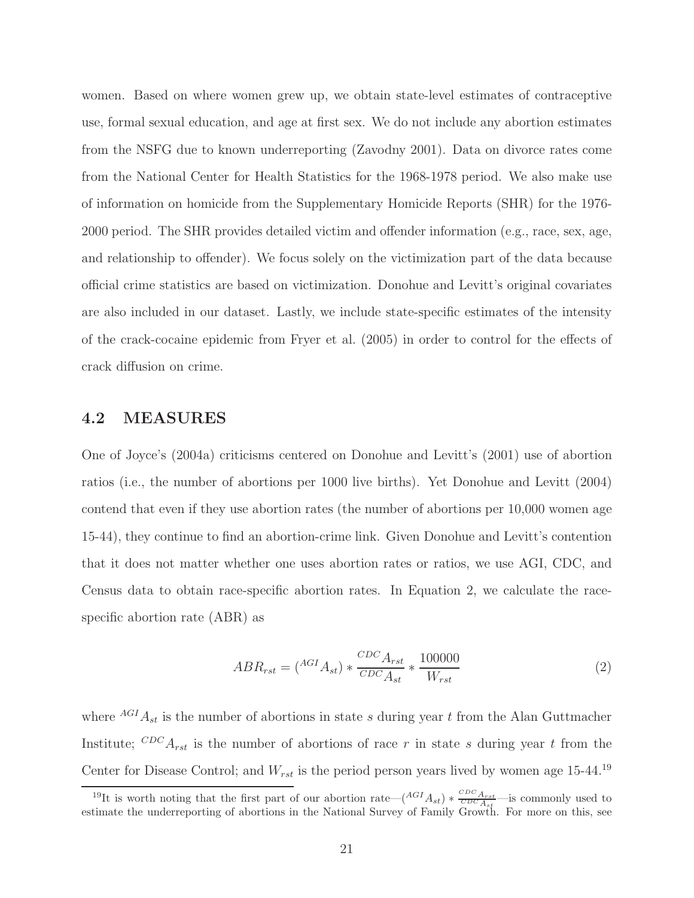women. Based on where women grew up, we obtain state-level estimates of contraceptive use, formal sexual education, and age at first sex. We do not include any abortion estimates from the NSFG due to known underreporting (Zavodny 2001). Data on divorce rates come from the National Center for Health Statistics for the 1968-1978 period. We also make use of information on homicide from the Supplementary Homicide Reports (SHR) for the 1976- 2000 period. The SHR provides detailed victim and offender information (e.g., race, sex, age, and relationship to offender). We focus solely on the victimization part of the data because official crime statistics are based on victimization. Donohue and Levitt's original covariates are also included in our dataset. Lastly, we include state-specific estimates of the intensity of the crack-cocaine epidemic from Fryer et al. (2005) in order to control for the effects of crack diffusion on crime.

#### 4.2 MEASURES

One of Joyce's (2004a) criticisms centered on Donohue and Levitt's (2001) use of abortion ratios (i.e., the number of abortions per 1000 live births). Yet Donohue and Levitt (2004) contend that even if they use abortion rates (the number of abortions per 10,000 women age 15-44), they continue to find an abortion-crime link. Given Donohue and Levitt's contention that it does not matter whether one uses abortion rates or ratios, we use AGI, CDC, and Census data to obtain race-specific abortion rates. In Equation 2, we calculate the racespecific abortion rate (ABR) as

$$
ABR_{rst} = \left(^{AGI}A_{st}\right) * \frac{^{CDC}A_{rst}}{^{CDC}A_{st}} * \frac{100000}{W_{rst}}
$$
\n
$$
\tag{2}
$$

where  $^{AGI}A_{st}$  is the number of abortions in state s during year t from the Alan Guttmacher Institute;  $^{CDC}A_{rst}$  is the number of abortions of race r in state s during year t from the Center for Disease Control; and  $W_{rst}$  is the period person years lived by women age 15-44.<sup>19</sup>

<sup>&</sup>lt;sup>19</sup>It is worth noting that the first part of our abortion rate— $\left(A^{GI}A_{st}\right) * \frac{\sigma_{DC}A_{rst}}{\sigma_{DC}A_{st}}$ —is commonly used to estimate the underreporting of abortions in the National Survey of Family Growth. For more on this, see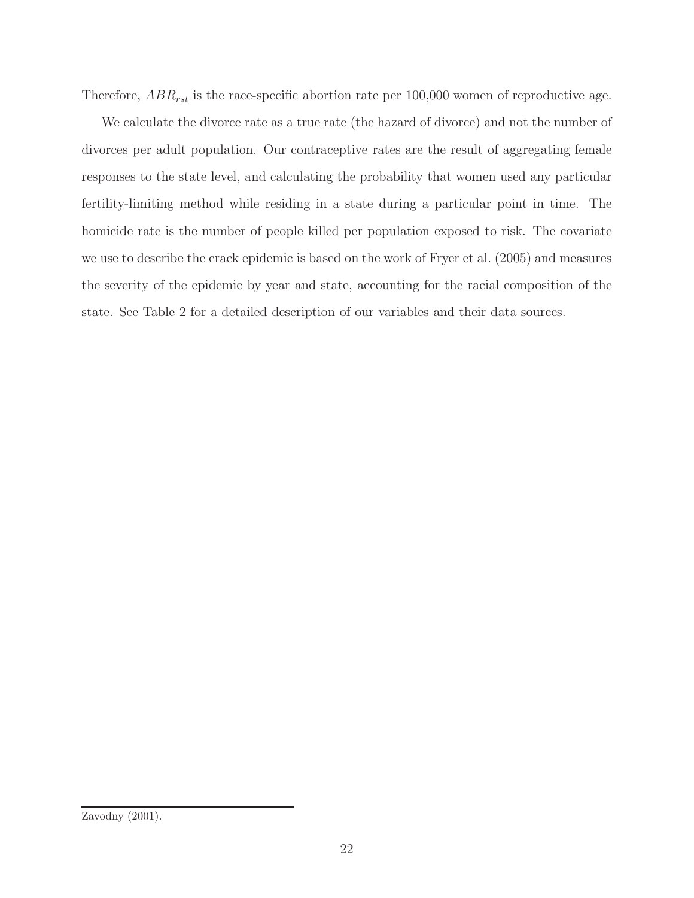Therefore,  $ABR_{rst}$  is the race-specific abortion rate per 100,000 women of reproductive age.

We calculate the divorce rate as a true rate (the hazard of divorce) and not the number of divorces per adult population. Our contraceptive rates are the result of aggregating female responses to the state level, and calculating the probability that women used any particular fertility-limiting method while residing in a state during a particular point in time. The homicide rate is the number of people killed per population exposed to risk. The covariate we use to describe the crack epidemic is based on the work of Fryer et al. (2005) and measures the severity of the epidemic by year and state, accounting for the racial composition of the state. See Table 2 for a detailed description of our variables and their data sources.

Zavodny (2001).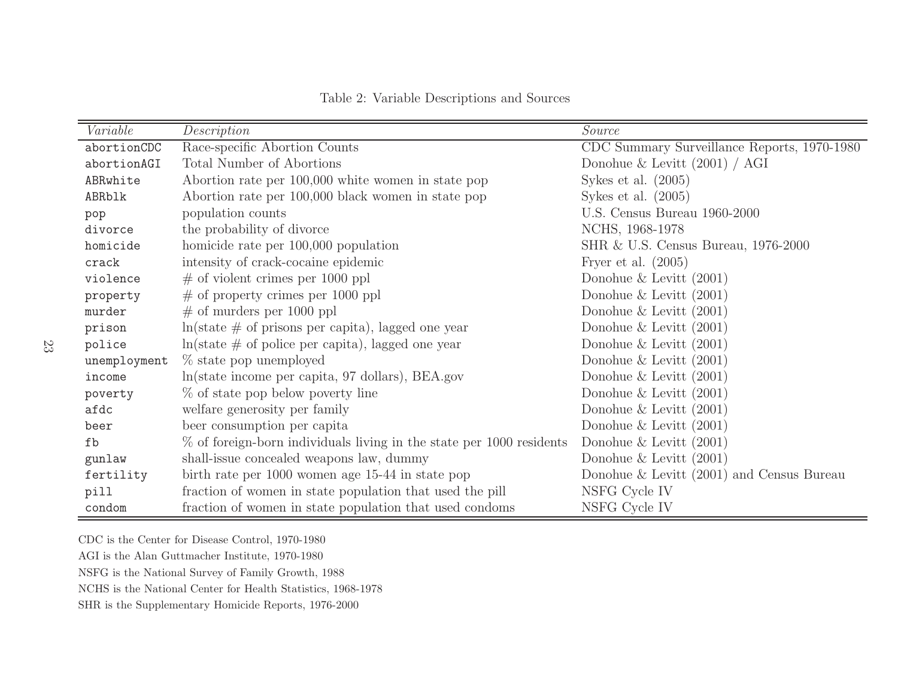| Variable     | Description                                                                    | Source                                      |
|--------------|--------------------------------------------------------------------------------|---------------------------------------------|
| abortionCDC  | Race-specific Abortion Counts                                                  | CDC Summary Surveillance Reports, 1970-1980 |
| abortionAGI  | Total Number of Abortions                                                      | Donohue & Levitt $(2001) / AGI$             |
| ABRwhite     | Abortion rate per 100,000 white women in state pop                             | Sykes et al. $(2005)$                       |
| ABRblk       | Abortion rate per 100,000 black women in state pop                             | Sykes et al. $(2005)$                       |
| pop          | population counts                                                              | U.S. Census Bureau 1960-2000                |
| divorce      | the probability of divorce                                                     | NCHS, 1968-1978                             |
| homicide     | homicide rate per 100,000 population                                           | SHR & U.S. Census Bureau, 1976-2000         |
| crack        | intensity of crack-cocaine epidemic                                            | Fryer et al. $(2005)$                       |
| violence     | $\#$ of violent crimes per 1000 ppl                                            | Donohue & Levitt $(2001)$                   |
| property     | $\#$ of property crimes per 1000 ppl                                           | Donohue & Levitt $(2001)$                   |
| murder       | $\#$ of murders per 1000 ppl                                                   | Donohue & Levitt $(2001)$                   |
| prison       | $\ln(\text{state} \neq \text{of} \text{prisons per capita})$ , lagged one year | Donohue & Levitt $(2001)$                   |
| police       | $ln(\text{state} \# \text{ of police per capita}), \text{lagged one year}$     | Donohue & Levitt $(2001)$                   |
| unemployment | % state pop unemployed                                                         | Donohue & Levitt $(2001)$                   |
| income       | ln(state income per capita, 97 dollars), BEA.gov                               | Donohue & Levitt $(2001)$                   |
| poverty      | % of state pop below poverty line                                              | Donohue & Levitt $(2001)$                   |
| afdc         | welfare generosity per family                                                  | Donohue & Levitt $(2001)$                   |
| beer         | beer consumption per capita                                                    | Donohue & Levitt $(2001)$                   |
| fb           | $\%$ of foreign-born individuals living in the state per 1000 residents        | Donohue & Levitt $(2001)$                   |
| gunlaw       | shall-issue concealed weapons law, dummy                                       | Donohue & Levitt $(2001)$                   |
| fertility    | birth rate per 1000 women age 15-44 in state pop                               | Donohue $&$ Levitt (2001) and Census Bureau |
| pill         | fraction of women in state population that used the pill                       | NSFG Cycle IV                               |
| condom       | fraction of women in state population that used condoms                        | NSFG Cycle IV                               |

Table 2: Variable Descriptions and Sources

CDC is the Center for Disease Control, 1970-1980

AGI is the Alan Guttmacher Institute, 1970-1980

NSFG is the National Survey of Family Growth, <sup>1988</sup>

NCHS is the National Center for Health Statistics, 1968-1978

SHR is the Supplementary Homicide Reports, 1976-2000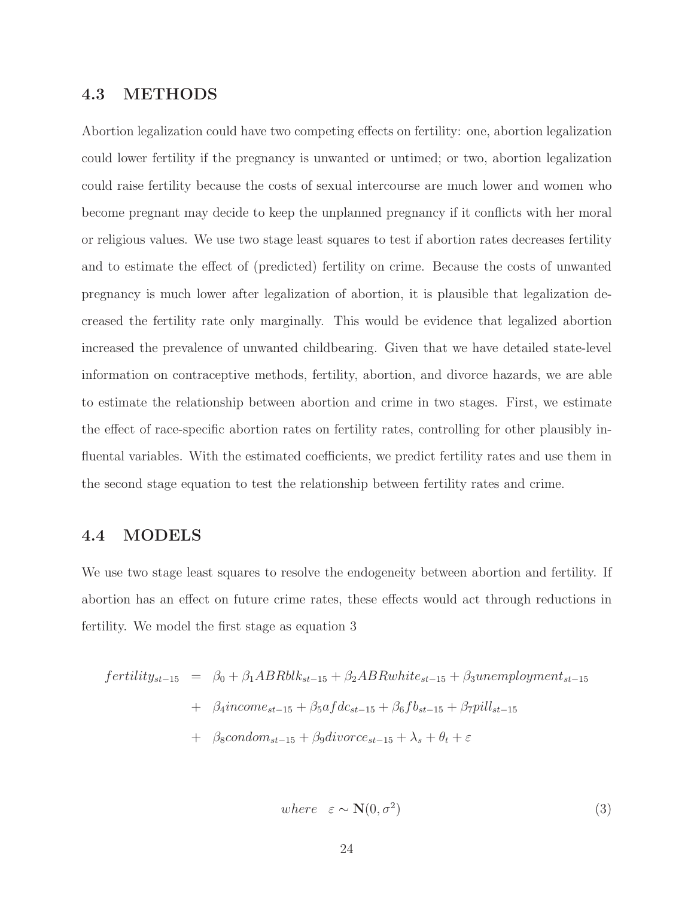## 4.3 METHODS

Abortion legalization could have two competing effects on fertility: one, abortion legalization could lower fertility if the pregnancy is unwanted or untimed; or two, abortion legalization could raise fertility because the costs of sexual intercourse are much lower and women who become pregnant may decide to keep the unplanned pregnancy if it conflicts with her moral or religious values. We use two stage least squares to test if abortion rates decreases fertility and to estimate the effect of (predicted) fertility on crime. Because the costs of unwanted pregnancy is much lower after legalization of abortion, it is plausible that legalization decreased the fertility rate only marginally. This would be evidence that legalized abortion increased the prevalence of unwanted childbearing. Given that we have detailed state-level information on contraceptive methods, fertility, abortion, and divorce hazards, we are able to estimate the relationship between abortion and crime in two stages. First, we estimate the effect of race-specific abortion rates on fertility rates, controlling for other plausibly influental variables. With the estimated coefficients, we predict fertility rates and use them in the second stage equation to test the relationship between fertility rates and crime.

#### 4.4 MODELS

We use two stage least squares to resolve the endogeneity between abortion and fertility. If abortion has an effect on future crime rates, these effects would act through reductions in fertility. We model the first stage as equation 3

$$
fertility_{st-15} = \beta_0 + \beta_1 ABRblk_{st-15} + \beta_2 ABRwhite_{st-15} + \beta_3 un employment_{st-15}
$$

$$
+ \beta_4 income_{st-15} + \beta_5 afdc_{st-15} + \beta_6 fb_{st-15} + \beta_7 pill_{st-15}
$$

$$
+ \beta_8 condom_{st-15} + \beta_9 divorce_{st-15} + \lambda_s + \theta_t + \varepsilon
$$

$$
where \varepsilon \sim \mathbf{N}(0, \sigma^2) \tag{3}
$$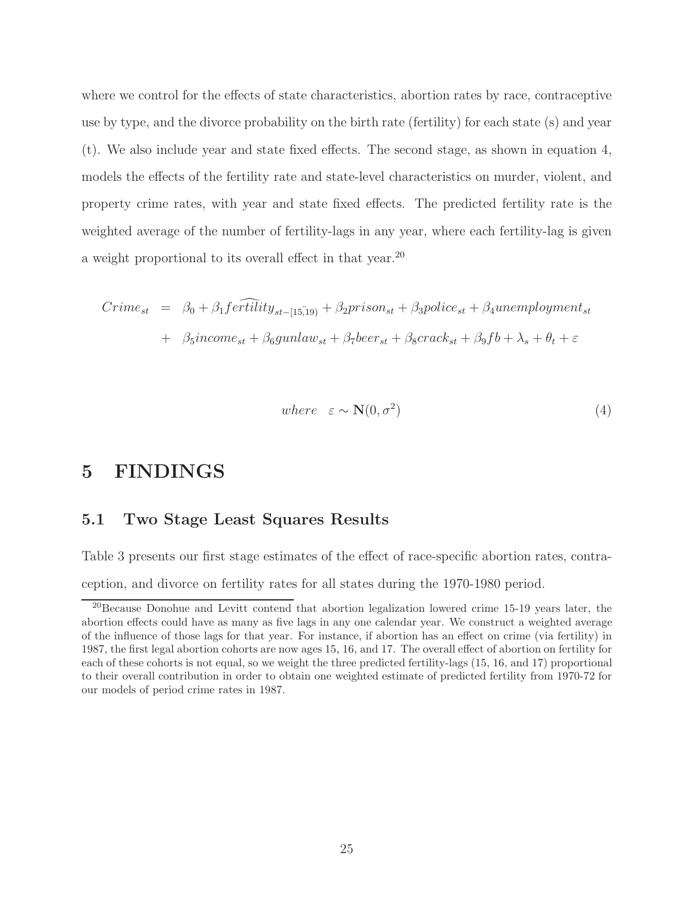where we control for the effects of state characteristics, abortion rates by race, contraceptive use by type, and the divorce probability on the birth rate (fertility) for each state (s) and year (t). We also include year and state fixed effects. The second stage, as shown in equation 4, models the effects of the fertility rate and state-level characteristics on murder, violent, and property crime rates, with year and state fixed effects. The predicted fertility rate is the weighted average of the number of fertility-lags in any year, where each fertility-lag is given a weight proportional to its overall effect in that year.<sup>20</sup>

$$
Crime_{st} = \beta_0 + \beta_1 \widehat{fertility}_{st-[15,19)} + \beta_2 prison_{st} + \beta_3 police_{st} + \beta_4 un employment_{st}
$$

$$
+ \beta_5 income_{st} + \beta_6 gunlaw_{st} + \beta_7 beer_{st} + \beta_8 crack_{st} + \beta_9 fb + \lambda_s + \theta_t + \varepsilon
$$

$$
where \varepsilon \sim \mathbf{N}(0, \sigma^2) \tag{4}
$$

# 5 FINDINGS

## 5.1 Two Stage Least Squares Results

Table 3 presents our first stage estimates of the effect of race-specific abortion rates, contraception, and divorce on fertility rates for all states during the 1970-1980 period.

<sup>20</sup>Because Donohue and Levitt contend that abortion legalization lowered crime 15-19 years later, the abortion effects could have as many as five lags in any one calendar year. We construct a weighted average of the influence of those lags for that year. For instance, if abortion has an effect on crime (via fertility) in 1987, the first legal abortion cohorts are now ages 15, 16, and 17. The overall effect of abortion on fertility for each of these cohorts is not equal, so we weight the three predicted fertility-lags (15, 16, and 17) proportional to their overall contribution in order to obtain one weighted estimate of predicted fertility from 1970-72 for our models of period crime rates in 1987.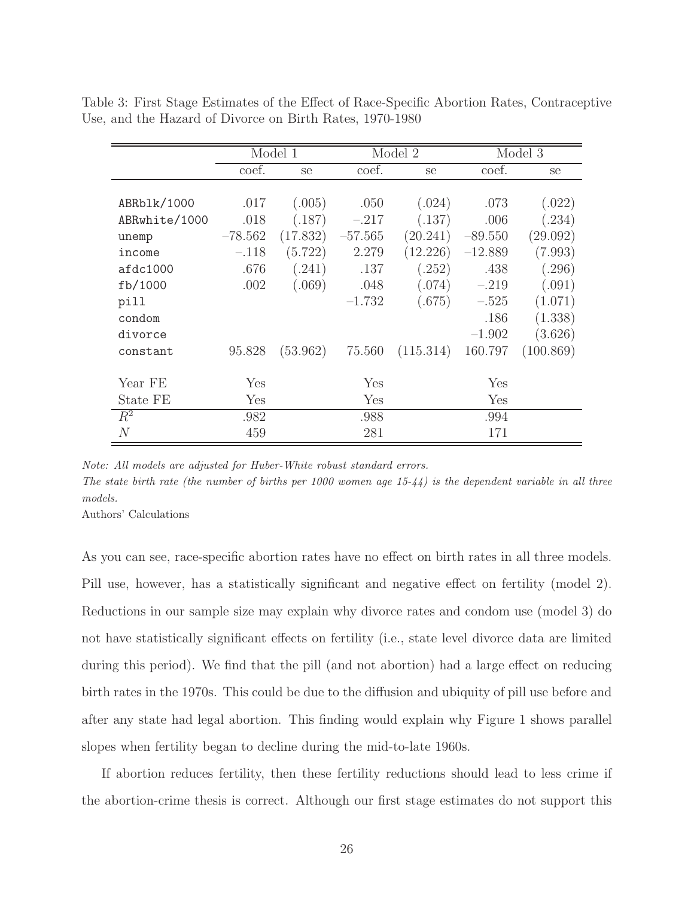|                |           | Model 1  |           | Model 2   | Model 3   |           |  |
|----------------|-----------|----------|-----------|-----------|-----------|-----------|--|
|                | coef.     | se       | coef.     | se        | coef.     | se        |  |
|                |           |          |           |           |           |           |  |
| ABRb1k/1000    | .017      | (.005)   | .050      | (.024)    | .073      | (.022)    |  |
| ABRwhite/1000  | .018      | (.187)   | $-.217$   | (.137)    | .006      | (.234)    |  |
| unemp          | $-78.562$ | (17.832) | $-57.565$ | (20.241)  | $-89.550$ | (29.092)  |  |
| income         | $-.118$   | (5.722)  | 2.279     | (12.226)  | $-12.889$ | (7.993)   |  |
| afdc1000       | .676      | (.241)   | .137      | (.252)    | .438      | (.296)    |  |
| fb/1000        | .002      | (.069)   | .048      | (.074)    | $-.219$   | (.091)    |  |
| pill           |           |          | $-1.732$  | (.675)    | $-.525$   | (1.071)   |  |
| condom         |           |          |           |           | .186      | (1.338)   |  |
| divorce        |           |          |           |           | $-1.902$  | (3.626)   |  |
| constant       | 95.828    | (53.962) | 75.560    | (115.314) | 160.797   | (100.869) |  |
| Year FE        | Yes       |          | Yes       |           | Yes       |           |  |
| State FE       | Yes       |          | Yes       |           | Yes       |           |  |
|                |           |          |           |           |           |           |  |
| $R^2$          | .982      |          | .988      |           | .994      |           |  |
| $\overline{N}$ | 459       |          | 281       |           | 171       |           |  |

Table 3: First Stage Estimates of the Effect of Race-Specific Abortion Rates, Contraceptive Use, and the Hazard of Divorce on Birth Rates, 1970-1980

Note: All models are adjusted for Huber-White robust standard errors. The state birth rate (the number of births per  $1000$  women age  $15-44$ ) is the dependent variable in all three models.

Authors' Calculations

As you can see, race-specific abortion rates have no effect on birth rates in all three models. Pill use, however, has a statistically significant and negative effect on fertility (model 2). Reductions in our sample size may explain why divorce rates and condom use (model 3) do not have statistically significant effects on fertility (i.e., state level divorce data are limited during this period). We find that the pill (and not abortion) had a large effect on reducing birth rates in the 1970s. This could be due to the diffusion and ubiquity of pill use before and after any state had legal abortion. This finding would explain why Figure 1 shows parallel slopes when fertility began to decline during the mid-to-late 1960s.

If abortion reduces fertility, then these fertility reductions should lead to less crime if the abortion-crime thesis is correct. Although our first stage estimates do not support this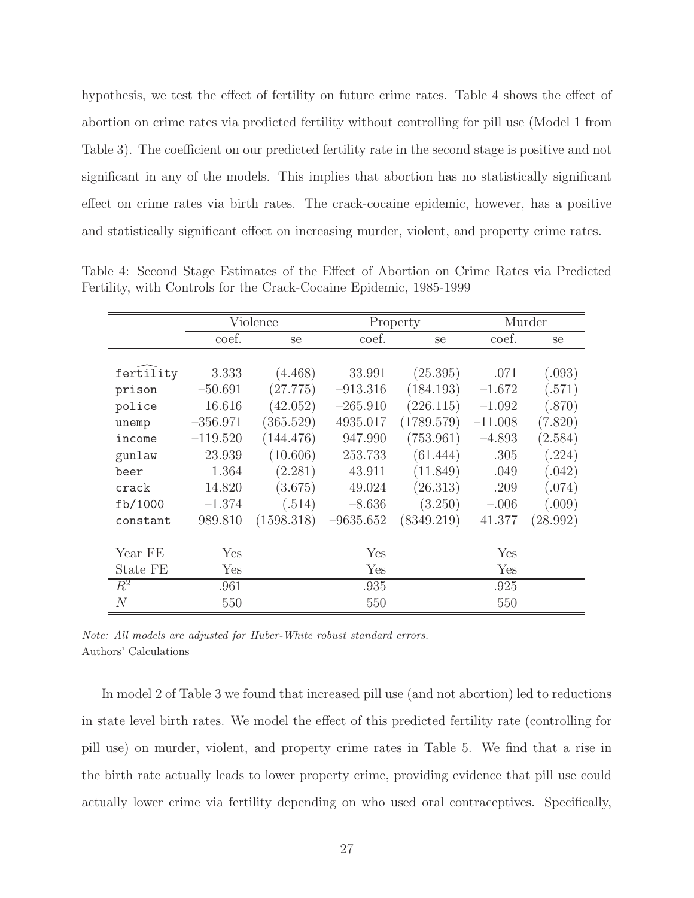hypothesis, we test the effect of fertility on future crime rates. Table 4 shows the effect of abortion on crime rates via predicted fertility without controlling for pill use (Model 1 from Table 3). The coefficient on our predicted fertility rate in the second stage is positive and not significant in any of the models. This implies that abortion has no statistically significant effect on crime rates via birth rates. The crack-cocaine epidemic, however, has a positive and statistically significant effect on increasing murder, violent, and property crime rates.

|           | Violence   |            |             | Property   | Murder    |          |
|-----------|------------|------------|-------------|------------|-----------|----------|
|           | coef.      | se         | coef.       | se         | coef.     | se       |
|           |            |            |             |            |           |          |
| fertility | 3.333      | (4.468)    | 33.991      | (25.395)   | .071      | (.093)   |
| prison    | $-50.691$  | (27.775)   | $-913.316$  | (184.193)  | $-1.672$  | (.571)   |
| police    | 16.616     | (42.052)   | $-265.910$  | (226.115)  | $-1.092$  | (.870)   |
| unemp     | $-356.971$ | (365.529)  | 4935.017    | (1789.579) | $-11.008$ | (7.820)  |
| income    | $-119.520$ | (144.476)  | 947.990     | (753.961)  | $-4.893$  | (2.584)  |
| gunlaw    | 23.939     | (10.606)   | 253.733     | (61.444)   | .305      | (.224)   |
| beer      | 1.364      | (2.281)    | 43.911      | (11.849)   | .049      | (.042)   |
| crack     | 14.820     | (3.675)    | 49.024      | (26.313)   | .209      | (.074)   |
| fb/1000   | $-1.374$   | (.514)     | $-8.636$    | (3.250)    | $-.006$   | (.009)   |
| constant  | 989.810    | (1598.318) | $-9635.652$ | (8349.219) | 41.377    | (28.992) |
|           |            |            |             |            |           |          |
| Year FE   | Yes        |            | Yes         |            | Yes       |          |
| State FE  | Yes        |            | Yes         |            | Yes       |          |
| $R^2$     | .961       |            | .935        |            | .925      |          |
| $\,N$     | 550        |            | 550         |            | 550       |          |

Table 4: Second Stage Estimates of the Effect of Abortion on Crime Rates via Predicted Fertility, with Controls for the Crack-Cocaine Epidemic, 1985-1999

In model 2 of Table 3 we found that increased pill use (and not abortion) led to reductions in state level birth rates. We model the effect of this predicted fertility rate (controlling for pill use) on murder, violent, and property crime rates in Table 5. We find that a rise in the birth rate actually leads to lower property crime, providing evidence that pill use could actually lower crime via fertility depending on who used oral contraceptives. Specifically,

Note: All models are adjusted for Huber-White robust standard errors. Authors' Calculations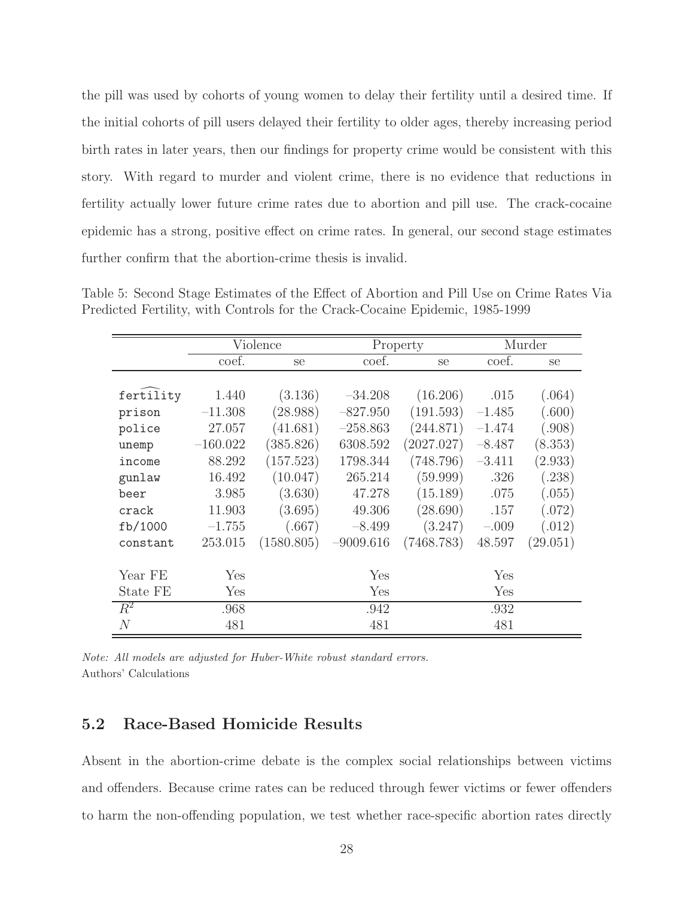the pill was used by cohorts of young women to delay their fertility until a desired time. If the initial cohorts of pill users delayed their fertility to older ages, thereby increasing period birth rates in later years, then our findings for property crime would be consistent with this story. With regard to murder and violent crime, there is no evidence that reductions in fertility actually lower future crime rates due to abortion and pill use. The crack-cocaine epidemic has a strong, positive effect on crime rates. In general, our second stage estimates further confirm that the abortion-crime thesis is invalid.

|           | Violence   |            |             | Property      | Murder   |          |
|-----------|------------|------------|-------------|---------------|----------|----------|
|           | coef.      | se         | coef.       | <sub>Se</sub> | coef.    | se       |
|           |            |            |             |               |          |          |
| fertility | 1.440      | (3.136)    | $-34.208$   | (16.206)      | .015     | (.064)   |
| prison    | $-11.308$  | (28.988)   | $-827.950$  | (191.593)     | $-1.485$ | (.600)   |
| police    | 27.057     | (41.681)   | $-258.863$  | (244.871)     | $-1.474$ | (.908)   |
| unemp     | $-160.022$ | (385.826)  | 6308.592    | (2027.027)    | $-8.487$ | (8.353)  |
| income    | 88.292     | (157.523)  | 1798.344    | (748.796)     | $-3.411$ | (2.933)  |
| gunlaw    | 16.492     | (10.047)   | 265.214     | (59.999)      | .326     | (.238)   |
| beer      | 3.985      | (3.630)    | 47.278      | (15.189)      | .075     | (.055)   |
| crack     | 11.903     | (3.695)    | 49.306      | (28.690)      | .157     | (.072)   |
| fb/1000   | $-1.755$   | (.667)     | $-8.499$    | (3.247)       | $-.009$  | (.012)   |
| constant  | 253.015    | (1580.805) | $-9009.616$ | (7468.783)    | 48.597   | (29.051) |
|           |            |            |             |               |          |          |
| Year FE   | Yes        |            | Yes         |               | Yes      |          |
| State FE  | Yes        |            | Yes         |               | Yes      |          |
| $R^2$     | .968       |            | .942        |               | .932     |          |
| $\,N$     | 481        |            | 481         |               | 481      |          |

Table 5: Second Stage Estimates of the Effect of Abortion and Pill Use on Crime Rates Via Predicted Fertility, with Controls for the Crack-Cocaine Epidemic, 1985-1999

Note: All models are adjusted for Huber-White robust standard errors. Authors' Calculations

### 5.2 Race-Based Homicide Results

Absent in the abortion-crime debate is the complex social relationships between victims and offenders. Because crime rates can be reduced through fewer victims or fewer offenders to harm the non-offending population, we test whether race-specific abortion rates directly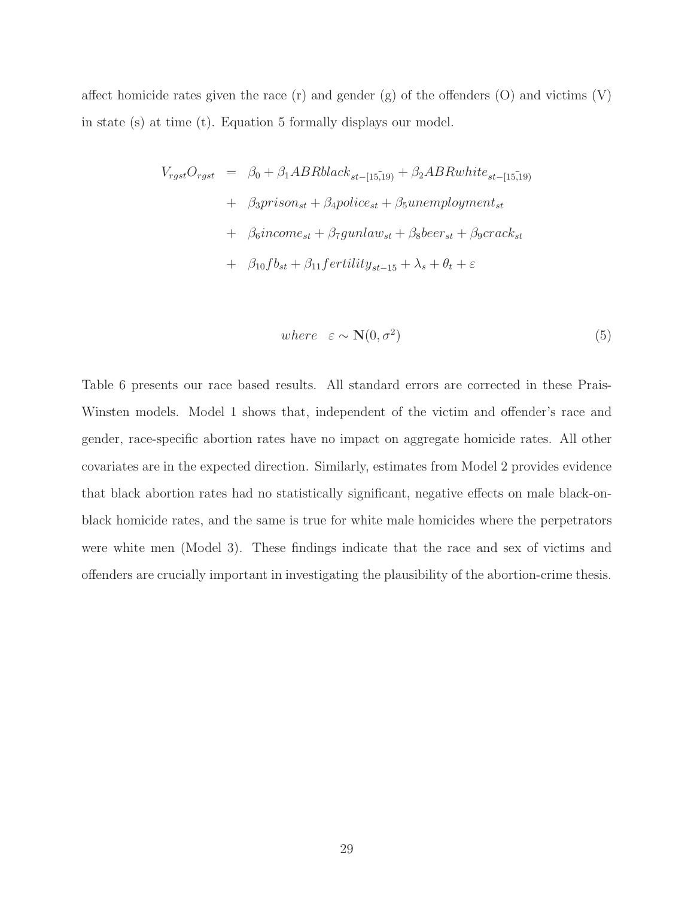affect homicide rates given the race  $(r)$  and gender  $(g)$  of the offenders  $(0)$  and victims  $(V)$ in state (s) at time (t). Equation 5 formally displays our model.

$$
V_{rgst}O_{rgst} = \beta_0 + \beta_1 ABRblack_{st-[15,19)} + \beta_2 ABRwhite_{st-[15,19)}
$$
  
+  $\beta_3 prison_{st} + \beta_4 police_{st} + \beta_5 un employment_{st}$   
+  $\beta_6 income_{st} + \beta_7 gunlaw_{st} + \beta_8 beer_{st} + \beta_9 crack_{st}$   
+  $\beta_{10}fb_{st} + \beta_{11} fertility_{st-15} + \lambda_s + \theta_t + \varepsilon$ 

$$
where \varepsilon \sim \mathbf{N}(0, \sigma^2) \tag{5}
$$

Table 6 presents our race based results. All standard errors are corrected in these Prais-Winsten models. Model 1 shows that, independent of the victim and offender's race and gender, race-specific abortion rates have no impact on aggregate homicide rates. All other covariates are in the expected direction. Similarly, estimates from Model 2 provides evidence that black abortion rates had no statistically significant, negative effects on male black-onblack homicide rates, and the same is true for white male homicides where the perpetrators were white men (Model 3). These findings indicate that the race and sex of victims and offenders are crucially important in investigating the plausibility of the abortion-crime thesis.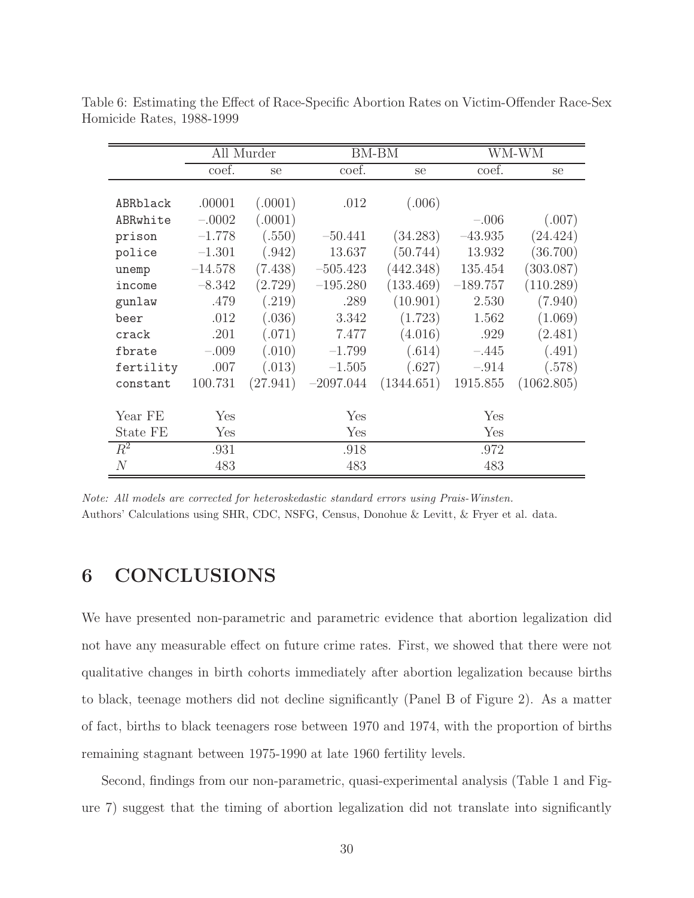|                | All Murder |          |             | BM-BM         | WM-WM      |            |
|----------------|------------|----------|-------------|---------------|------------|------------|
|                | coef.      | se       | coef.       | <sub>se</sub> | coef.      | se         |
|                |            |          |             |               |            |            |
| ABRblack       | .00001     | (.0001)  | .012        | (.006)        |            |            |
| ABRwhite       | $-.0002$   | (.0001)  |             |               | $-.006$    | (.007)     |
| prison         | $-1.778$   | (.550)   | $-50.441$   | (34.283)      | $-43.935$  | (24.424)   |
| police         | $-1.301$   | (.942)   | 13.637      | (50.744)      | 13.932     | (36.700)   |
| unemp          | $-14.578$  | (7.438)  | $-505.423$  | (442.348)     | 135.454    | (303.087)  |
| income         | $-8.342$   | (2.729)  | $-195.280$  | (133.469)     | $-189.757$ | (110.289)  |
| gunlaw         | .479       | (.219)   | .289        | (10.901)      | 2.530      | (7.940)    |
| beer           | .012       | (.036)   | 3.342       | (1.723)       | 1.562      | (1.069)    |
| crack          | .201       | (.071)   | 7.477       | (4.016)       | .929       | (2.481)    |
| fbrate         | $-.009$    | (.010)   | $-1.799$    | (.614)        | $-.445$    | (.491)     |
| fertility      | .007       | (.013)   | $-1.505$    | (.627)        | $-.914$    | (.578)     |
| constant       | 100.731    | (27.941) | $-2097.044$ | (1344.651)    | 1915.855   | (1062.805) |
|                |            |          |             |               |            |            |
| Year FE        | Yes        |          | Yes         |               | Yes        |            |
| State FE       | Yes        |          | Yes         |               | Yes        |            |
| $R^2$          | .931       |          | .918        |               | .972       |            |
| $\overline{N}$ | 483        |          | 483         |               | 483        |            |

Table 6: Estimating the Effect of Race-Specific Abortion Rates on Victim-Offender Race-Sex Homicide Rates, 1988-1999

Note: All models are corrected for heteroskedastic standard errors using Prais-Winsten. Authors' Calculations using SHR, CDC, NSFG, Census, Donohue & Levitt, & Fryer et al. data.

# 6 CONCLUSIONS

We have presented non-parametric and parametric evidence that abortion legalization did not have any measurable effect on future crime rates. First, we showed that there were not qualitative changes in birth cohorts immediately after abortion legalization because births to black, teenage mothers did not decline significantly (Panel B of Figure 2). As a matter of fact, births to black teenagers rose between 1970 and 1974, with the proportion of births remaining stagnant between 1975-1990 at late 1960 fertility levels.

Second, findings from our non-parametric, quasi-experimental analysis (Table 1 and Figure 7) suggest that the timing of abortion legalization did not translate into significantly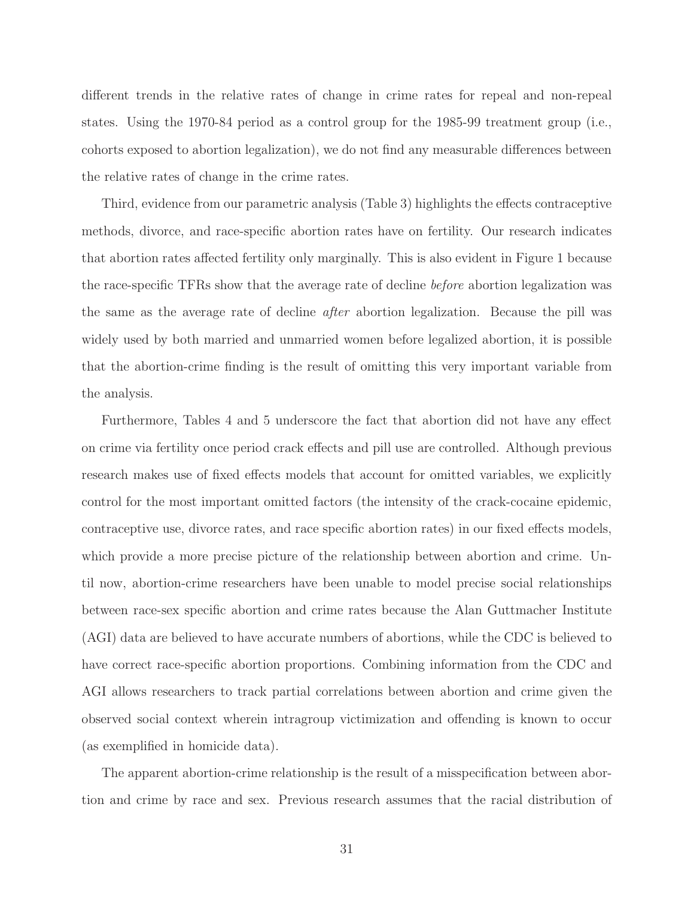different trends in the relative rates of change in crime rates for repeal and non-repeal states. Using the 1970-84 period as a control group for the 1985-99 treatment group (i.e., cohorts exposed to abortion legalization), we do not find any measurable differences between the relative rates of change in the crime rates.

Third, evidence from our parametric analysis (Table 3) highlights the effects contraceptive methods, divorce, and race-specific abortion rates have on fertility. Our research indicates that abortion rates affected fertility only marginally. This is also evident in Figure 1 because the race-specific TFRs show that the average rate of decline before abortion legalization was the same as the average rate of decline after abortion legalization. Because the pill was widely used by both married and unmarried women before legalized abortion, it is possible that the abortion-crime finding is the result of omitting this very important variable from the analysis.

Furthermore, Tables 4 and 5 underscore the fact that abortion did not have any effect on crime via fertility once period crack effects and pill use are controlled. Although previous research makes use of fixed effects models that account for omitted variables, we explicitly control for the most important omitted factors (the intensity of the crack-cocaine epidemic, contraceptive use, divorce rates, and race specific abortion rates) in our fixed effects models, which provide a more precise picture of the relationship between abortion and crime. Until now, abortion-crime researchers have been unable to model precise social relationships between race-sex specific abortion and crime rates because the Alan Guttmacher Institute (AGI) data are believed to have accurate numbers of abortions, while the CDC is believed to have correct race-specific abortion proportions. Combining information from the CDC and AGI allows researchers to track partial correlations between abortion and crime given the observed social context wherein intragroup victimization and offending is known to occur (as exemplified in homicide data).

The apparent abortion-crime relationship is the result of a misspecification between abortion and crime by race and sex. Previous research assumes that the racial distribution of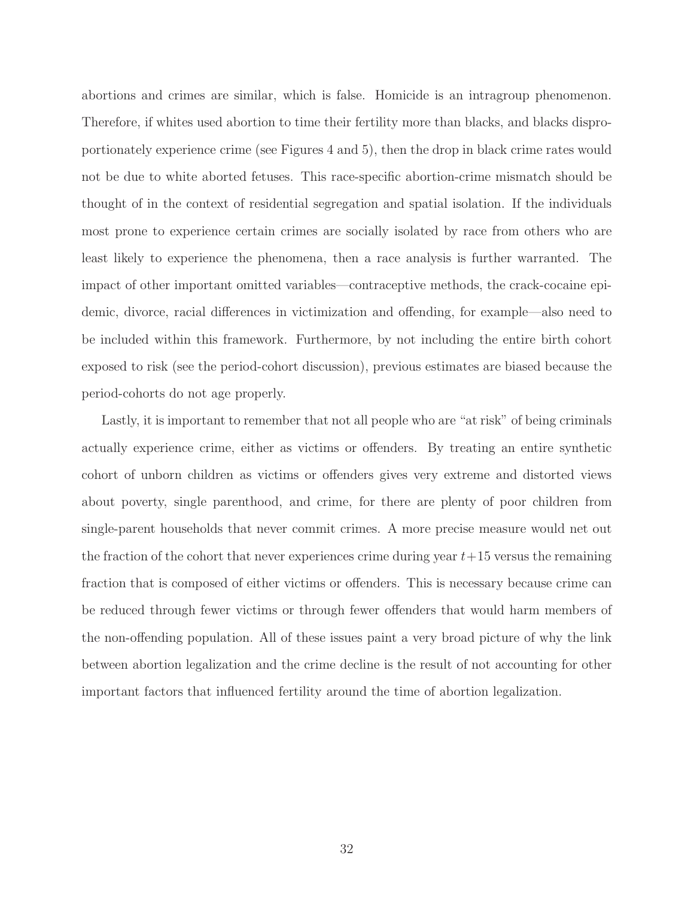abortions and crimes are similar, which is false. Homicide is an intragroup phenomenon. Therefore, if whites used abortion to time their fertility more than blacks, and blacks disproportionately experience crime (see Figures 4 and 5), then the drop in black crime rates would not be due to white aborted fetuses. This race-specific abortion-crime mismatch should be thought of in the context of residential segregation and spatial isolation. If the individuals most prone to experience certain crimes are socially isolated by race from others who are least likely to experience the phenomena, then a race analysis is further warranted. The impact of other important omitted variables—contraceptive methods, the crack-cocaine epidemic, divorce, racial differences in victimization and offending, for example—also need to be included within this framework. Furthermore, by not including the entire birth cohort exposed to risk (see the period-cohort discussion), previous estimates are biased because the period-cohorts do not age properly.

Lastly, it is important to remember that not all people who are "at risk" of being criminals actually experience crime, either as victims or offenders. By treating an entire synthetic cohort of unborn children as victims or offenders gives very extreme and distorted views about poverty, single parenthood, and crime, for there are plenty of poor children from single-parent households that never commit crimes. A more precise measure would net out the fraction of the cohort that never experiences crime during year  $t+15$  versus the remaining fraction that is composed of either victims or offenders. This is necessary because crime can be reduced through fewer victims or through fewer offenders that would harm members of the non-offending population. All of these issues paint a very broad picture of why the link between abortion legalization and the crime decline is the result of not accounting for other important factors that influenced fertility around the time of abortion legalization.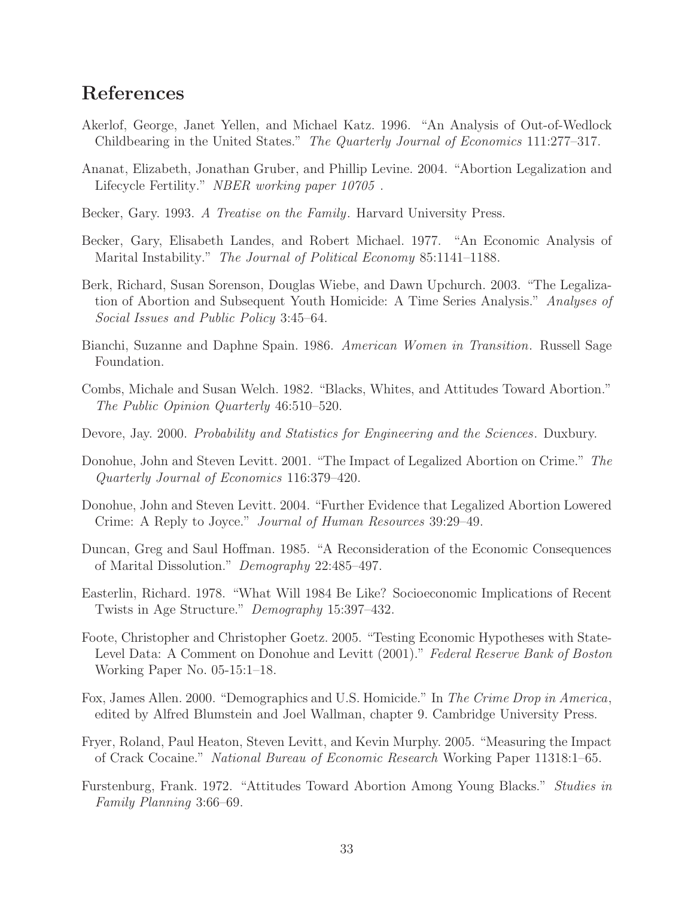# References

- Akerlof, George, Janet Yellen, and Michael Katz. 1996. "An Analysis of Out-of-Wedlock Childbearing in the United States." The Quarterly Journal of Economics 111:277–317.
- Ananat, Elizabeth, Jonathan Gruber, and Phillip Levine. 2004. "Abortion Legalization and Lifecycle Fertility." NBER working paper 10705 .
- Becker, Gary. 1993. A Treatise on the Family. Harvard University Press.
- Becker, Gary, Elisabeth Landes, and Robert Michael. 1977. "An Economic Analysis of Marital Instability." The Journal of Political Economy 85:1141–1188.
- Berk, Richard, Susan Sorenson, Douglas Wiebe, and Dawn Upchurch. 2003. "The Legalization of Abortion and Subsequent Youth Homicide: A Time Series Analysis." Analyses of Social Issues and Public Policy 3:45–64.
- Bianchi, Suzanne and Daphne Spain. 1986. American Women in Transition. Russell Sage Foundation.
- Combs, Michale and Susan Welch. 1982. "Blacks, Whites, and Attitudes Toward Abortion." The Public Opinion Quarterly 46:510–520.
- Devore, Jay. 2000. Probability and Statistics for Engineering and the Sciences. Duxbury.
- Donohue, John and Steven Levitt. 2001. "The Impact of Legalized Abortion on Crime." The Quarterly Journal of Economics 116:379–420.
- Donohue, John and Steven Levitt. 2004. "Further Evidence that Legalized Abortion Lowered Crime: A Reply to Joyce." Journal of Human Resources 39:29–49.
- Duncan, Greg and Saul Hoffman. 1985. "A Reconsideration of the Economic Consequences of Marital Dissolution." Demography 22:485–497.
- Easterlin, Richard. 1978. "What Will 1984 Be Like? Socioeconomic Implications of Recent Twists in Age Structure." Demography 15:397–432.
- Foote, Christopher and Christopher Goetz. 2005. "Testing Economic Hypotheses with State-Level Data: A Comment on Donohue and Levitt (2001)." Federal Reserve Bank of Boston Working Paper No. 05-15:1–18.
- Fox, James Allen. 2000. "Demographics and U.S. Homicide." In The Crime Drop in America, edited by Alfred Blumstein and Joel Wallman, chapter 9. Cambridge University Press.
- Fryer, Roland, Paul Heaton, Steven Levitt, and Kevin Murphy. 2005. "Measuring the Impact of Crack Cocaine." National Bureau of Economic Research Working Paper 11318:1–65.
- Furstenburg, Frank. 1972. "Attitudes Toward Abortion Among Young Blacks." Studies in Family Planning 3:66–69.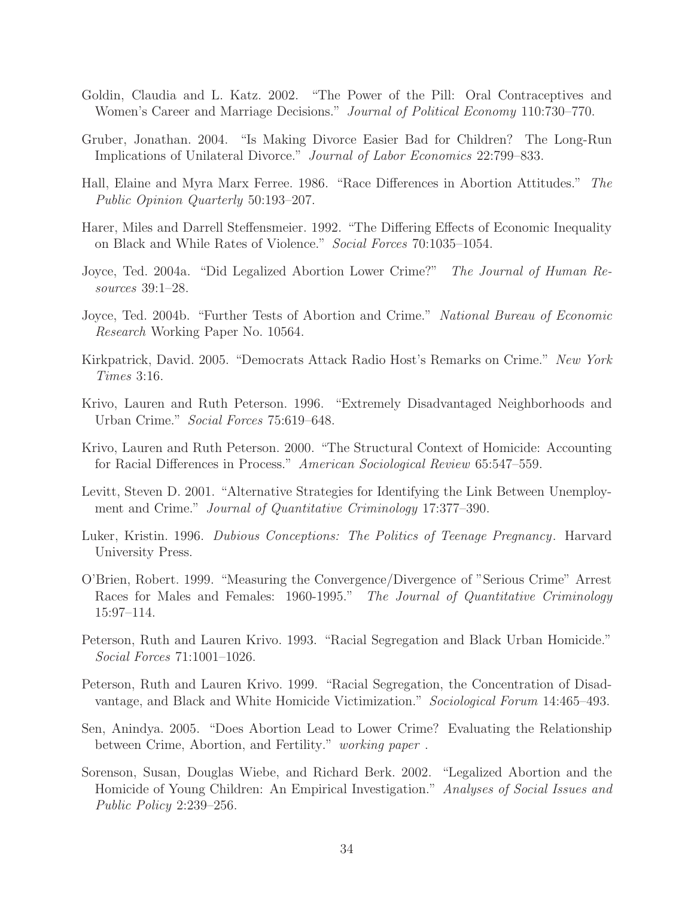- Goldin, Claudia and L. Katz. 2002. "The Power of the Pill: Oral Contraceptives and Women's Career and Marriage Decisions." Journal of Political Economy 110:730–770.
- Gruber, Jonathan. 2004. "Is Making Divorce Easier Bad for Children? The Long-Run Implications of Unilateral Divorce." Journal of Labor Economics 22:799–833.
- Hall, Elaine and Myra Marx Ferree. 1986. "Race Differences in Abortion Attitudes." The Public Opinion Quarterly 50:193–207.
- Harer, Miles and Darrell Steffensmeier. 1992. "The Differing Effects of Economic Inequality on Black and While Rates of Violence." Social Forces 70:1035–1054.
- Joyce, Ted. 2004a. "Did Legalized Abortion Lower Crime?" The Journal of Human Resources 39:1–28.
- Joyce, Ted. 2004b. "Further Tests of Abortion and Crime." National Bureau of Economic Research Working Paper No. 10564.
- Kirkpatrick, David. 2005. "Democrats Attack Radio Host's Remarks on Crime." New York Times 3:16.
- Krivo, Lauren and Ruth Peterson. 1996. "Extremely Disadvantaged Neighborhoods and Urban Crime." Social Forces 75:619–648.
- Krivo, Lauren and Ruth Peterson. 2000. "The Structural Context of Homicide: Accounting for Racial Differences in Process." American Sociological Review 65:547–559.
- Levitt, Steven D. 2001. "Alternative Strategies for Identifying the Link Between Unemployment and Crime." Journal of Quantitative Criminology 17:377–390.
- Luker, Kristin. 1996. Dubious Conceptions: The Politics of Teenage Pregnancy. Harvard University Press.
- O'Brien, Robert. 1999. "Measuring the Convergence/Divergence of "Serious Crime" Arrest Races for Males and Females: 1960-1995." The Journal of Quantitative Criminology 15:97–114.
- Peterson, Ruth and Lauren Krivo. 1993. "Racial Segregation and Black Urban Homicide." Social Forces 71:1001–1026.
- Peterson, Ruth and Lauren Krivo. 1999. "Racial Segregation, the Concentration of Disadvantage, and Black and White Homicide Victimization." Sociological Forum 14:465–493.
- Sen, Anindya. 2005. "Does Abortion Lead to Lower Crime? Evaluating the Relationship between Crime, Abortion, and Fertility." working paper .
- Sorenson, Susan, Douglas Wiebe, and Richard Berk. 2002. "Legalized Abortion and the Homicide of Young Children: An Empirical Investigation." Analyses of Social Issues and Public Policy 2:239–256.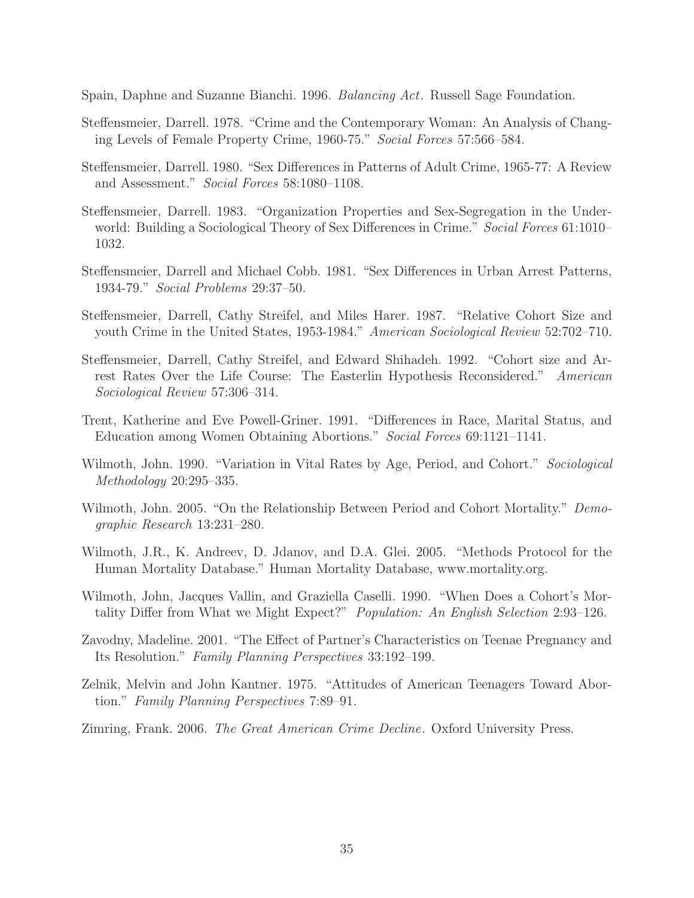Spain, Daphne and Suzanne Bianchi. 1996. Balancing Act. Russell Sage Foundation.

- Steffensmeier, Darrell. 1978. "Crime and the Contemporary Woman: An Analysis of Changing Levels of Female Property Crime, 1960-75." Social Forces 57:566–584.
- Steffensmeier, Darrell. 1980. "Sex Differences in Patterns of Adult Crime, 1965-77: A Review and Assessment." Social Forces 58:1080–1108.
- Steffensmeier, Darrell. 1983. "Organization Properties and Sex-Segregation in the Underworld: Building a Sociological Theory of Sex Differences in Crime." Social Forces 61:1010– 1032.
- Steffensmeier, Darrell and Michael Cobb. 1981. "Sex Differences in Urban Arrest Patterns, 1934-79." Social Problems 29:37–50.
- Steffensmeier, Darrell, Cathy Streifel, and Miles Harer. 1987. "Relative Cohort Size and youth Crime in the United States, 1953-1984." American Sociological Review 52:702–710.
- Steffensmeier, Darrell, Cathy Streifel, and Edward Shihadeh. 1992. "Cohort size and Arrest Rates Over the Life Course: The Easterlin Hypothesis Reconsidered." American Sociological Review 57:306–314.
- Trent, Katherine and Eve Powell-Griner. 1991. "Differences in Race, Marital Status, and Education among Women Obtaining Abortions." Social Forces 69:1121–1141.
- Wilmoth, John. 1990. "Variation in Vital Rates by Age, Period, and Cohort." Sociological Methodology 20:295–335.
- Wilmoth, John. 2005. "On the Relationship Between Period and Cohort Mortality." Demographic Research 13:231–280.
- Wilmoth, J.R., K. Andreev, D. Jdanov, and D.A. Glei. 2005. "Methods Protocol for the Human Mortality Database." Human Mortality Database, www.mortality.org.
- Wilmoth, John, Jacques Vallin, and Graziella Caselli. 1990. "When Does a Cohort's Mortality Differ from What we Might Expect?" Population: An English Selection 2:93–126.
- Zavodny, Madeline. 2001. "The Effect of Partner's Characteristics on Teenae Pregnancy and Its Resolution." Family Planning Perspectives 33:192–199.
- Zelnik, Melvin and John Kantner. 1975. "Attitudes of American Teenagers Toward Abortion." Family Planning Perspectives 7:89–91.
- Zimring, Frank. 2006. The Great American Crime Decline. Oxford University Press.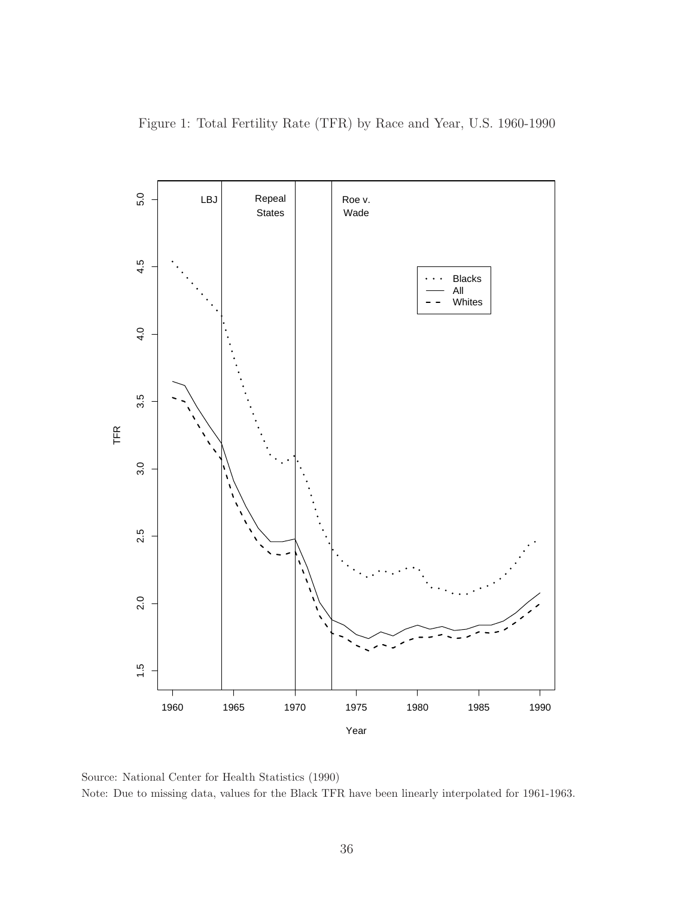Figure 1: Total Fertility Rate (TFR) by Race and Year, U.S. 1960-1990



Source: National Center for Health Statistics (1990) Note: Due to missing data, values for the Black TFR have been linearly interpolated for 1961-1963.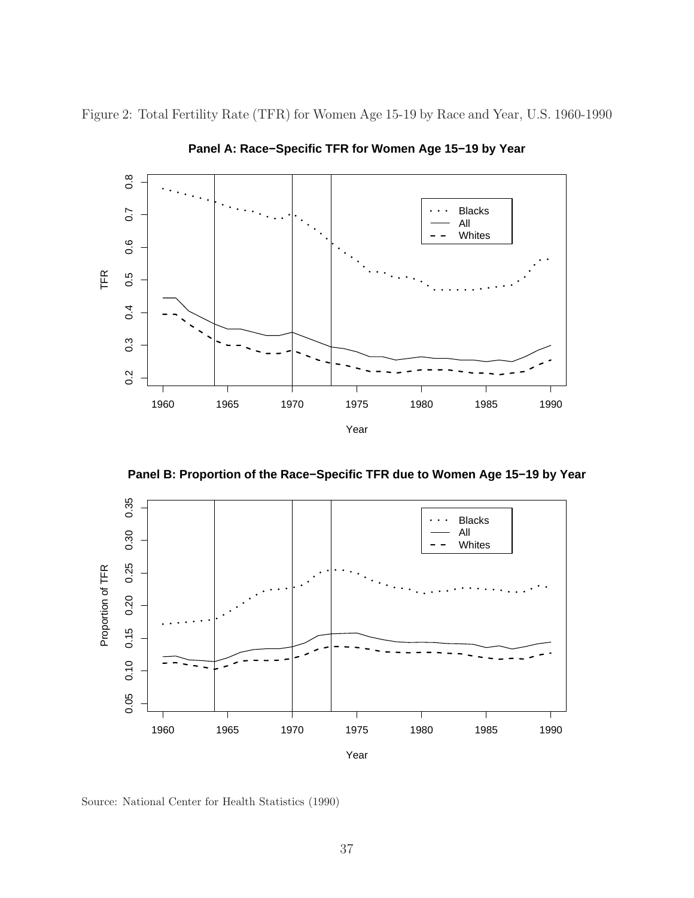Figure 2: Total Fertility Rate (TFR) for Women Age 15-19 by Race and Year, U.S. 1960-1990



**Panel A: Race−Specific TFR for Women Age 15−19 by Year**





Source: National Center for Health Statistics (1990)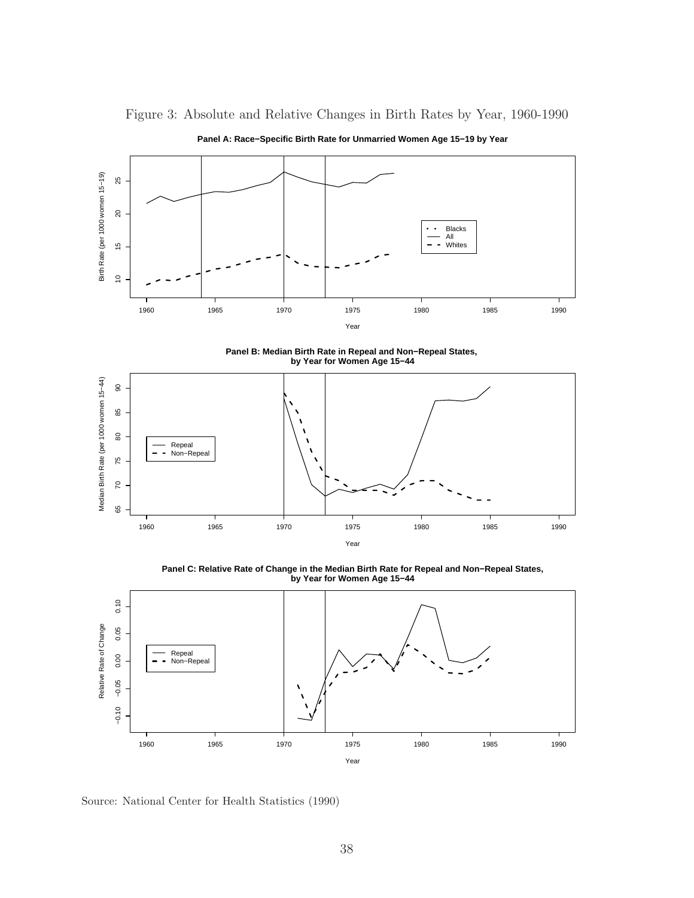

Figure 3: Absolute and Relative Changes in Birth Rates by Year, 1960-1990

**Panel A: Race−Specific Birth Rate for Unmarried Women Age 15−19 by Year**

**Panel B: Median Birth Rate in Repeal and Non−Repeal States, by Year for Women Age 15−44**



**Panel C: Relative Rate of Change in the Median Birth Rate for Repeal and Non−Repeal States, by Year for Women Age 15−44**



Source: National Center for Health Statistics (1990)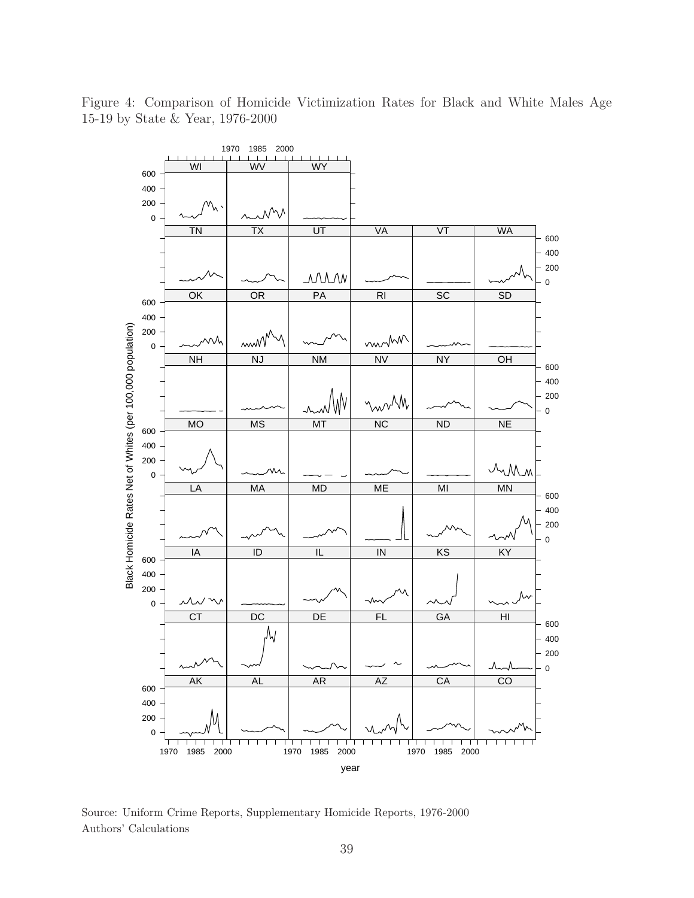

Figure 4: Comparison of Homicide Victimization Rates for Black and White Males Age 15-19 by State & Year, 1976-2000

Source: Uniform Crime Reports, Supplementary Homicide Reports, 1976-2000 Authors' Calculations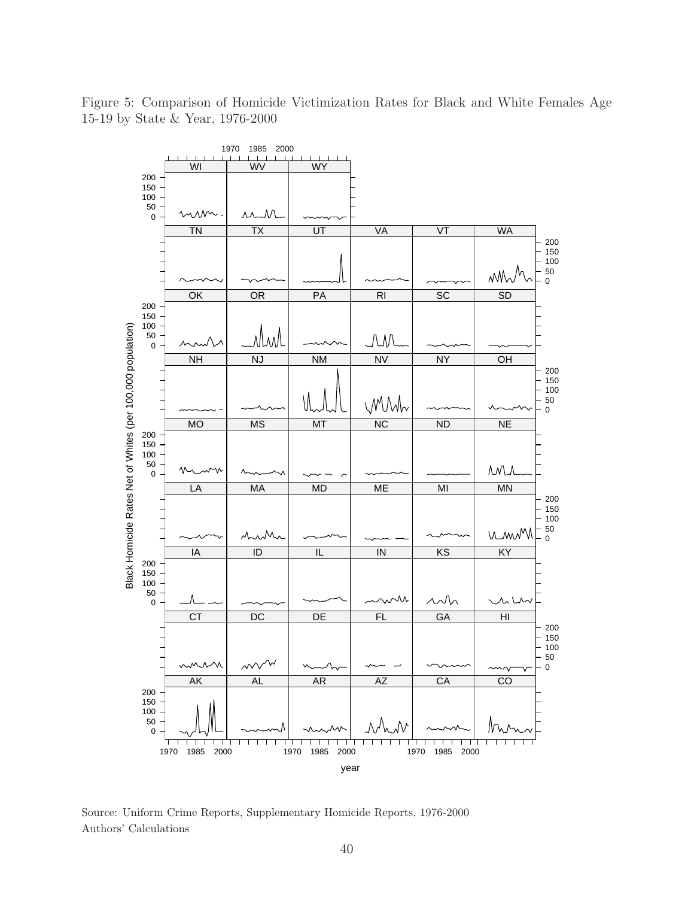

Figure 5: Comparison of Homicide Victimization Rates for Black and White Females Age 15-19 by State & Year, 1976-2000

Source: Uniform Crime Reports, Supplementary Homicide Reports, 1976-2000 Authors' Calculations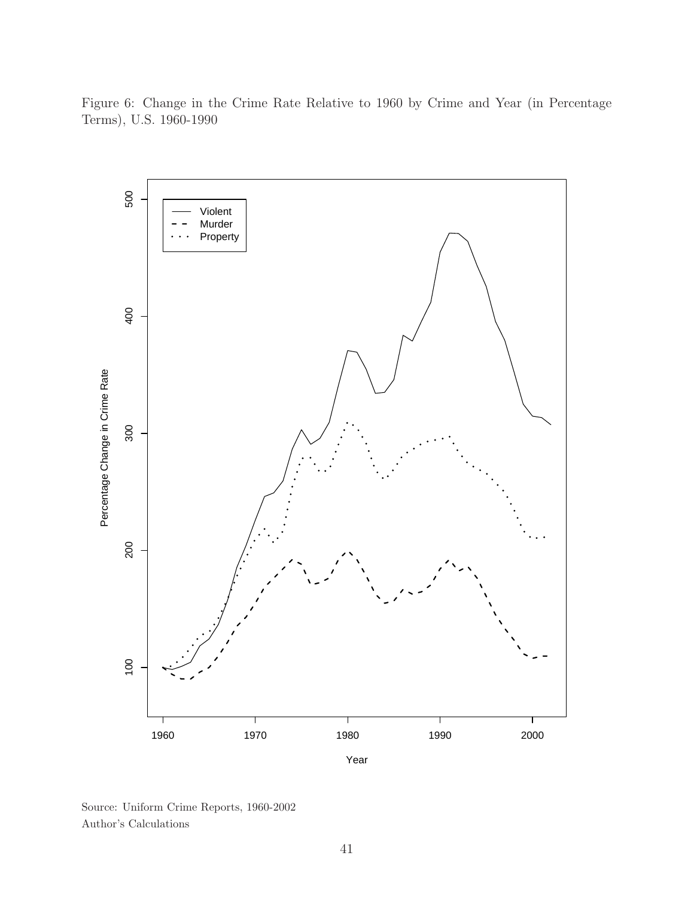Figure 6: Change in the Crime Rate Relative to 1960 by Crime and Year (in Percentage Terms), U.S. 1960-1990



Source: Uniform Crime Reports, 1960-2002 Author's Calculations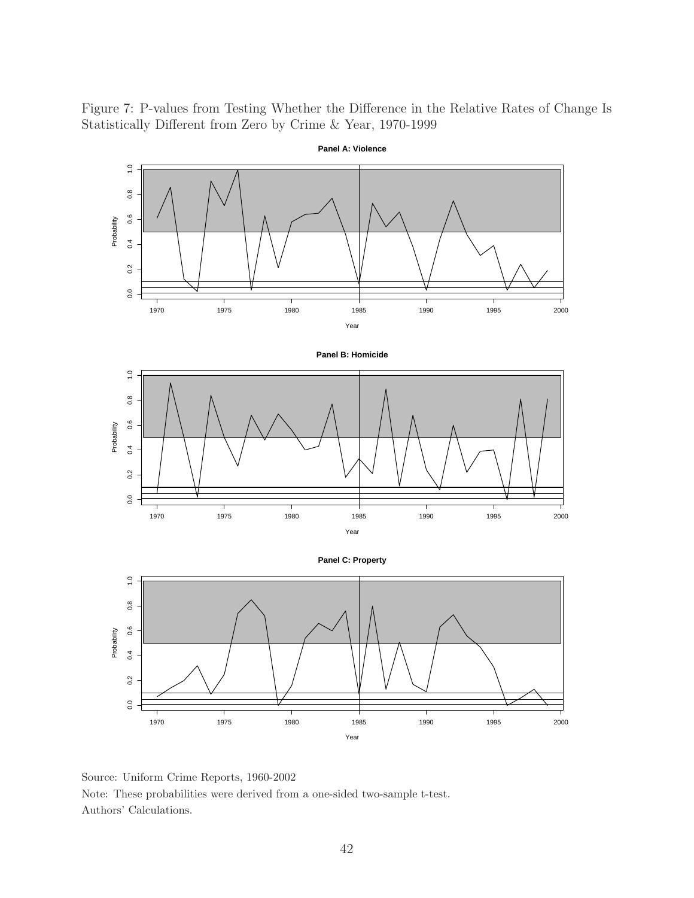Figure 7: P-values from Testing Whether the Difference in the Relative Rates of Change Is Statistically Different from Zero by Crime & Year, 1970-1999



Source: Uniform Crime Reports, 1960-2002 Note: These probabilities were derived from a one-sided two-sample t-test. Authors' Calculations.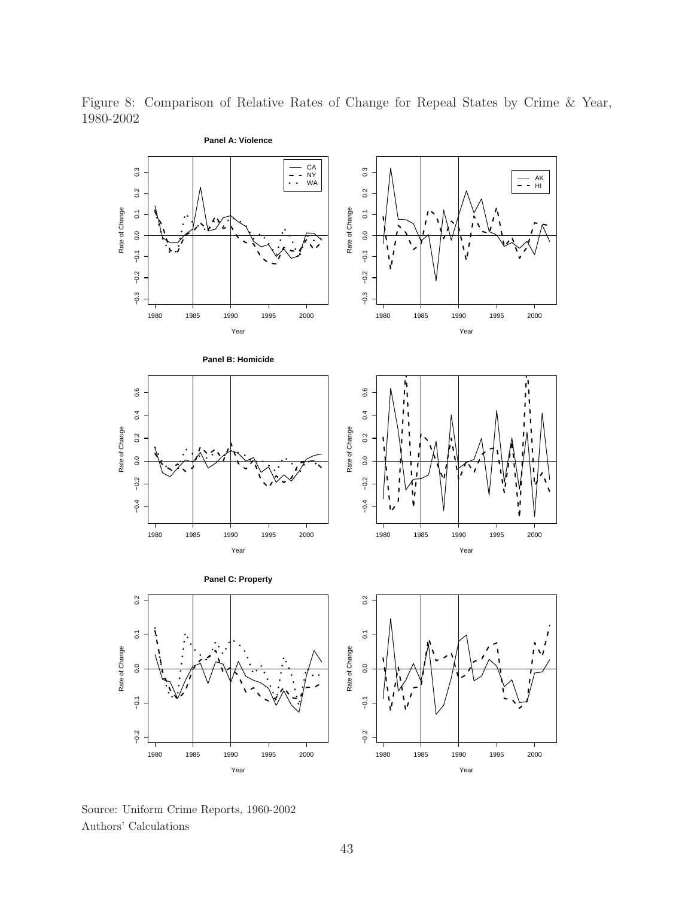Figure 8: Comparison of Relative Rates of Change for Repeal States by Crime & Year, 1980-2002



Source: Uniform Crime Reports, 1960-2002 Authors' Calculations